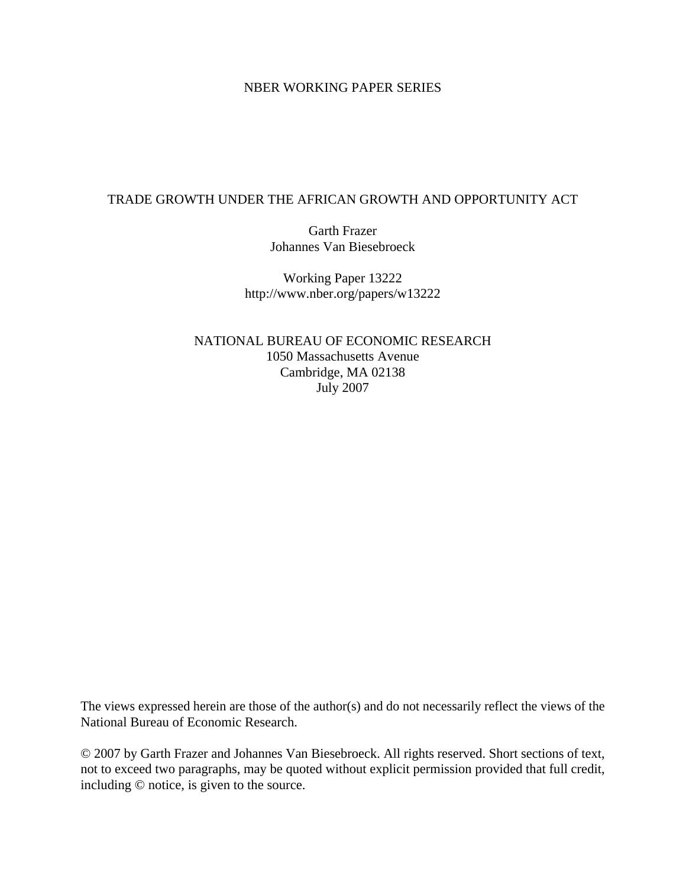### NBER WORKING PAPER SERIES

### TRADE GROWTH UNDER THE AFRICAN GROWTH AND OPPORTUNITY ACT

Garth Frazer Johannes Van Biesebroeck

Working Paper 13222 http://www.nber.org/papers/w13222

NATIONAL BUREAU OF ECONOMIC RESEARCH 1050 Massachusetts Avenue Cambridge, MA 02138 July 2007

The views expressed herein are those of the author(s) and do not necessarily reflect the views of the National Bureau of Economic Research.

© 2007 by Garth Frazer and Johannes Van Biesebroeck. All rights reserved. Short sections of text, not to exceed two paragraphs, may be quoted without explicit permission provided that full credit, including © notice, is given to the source.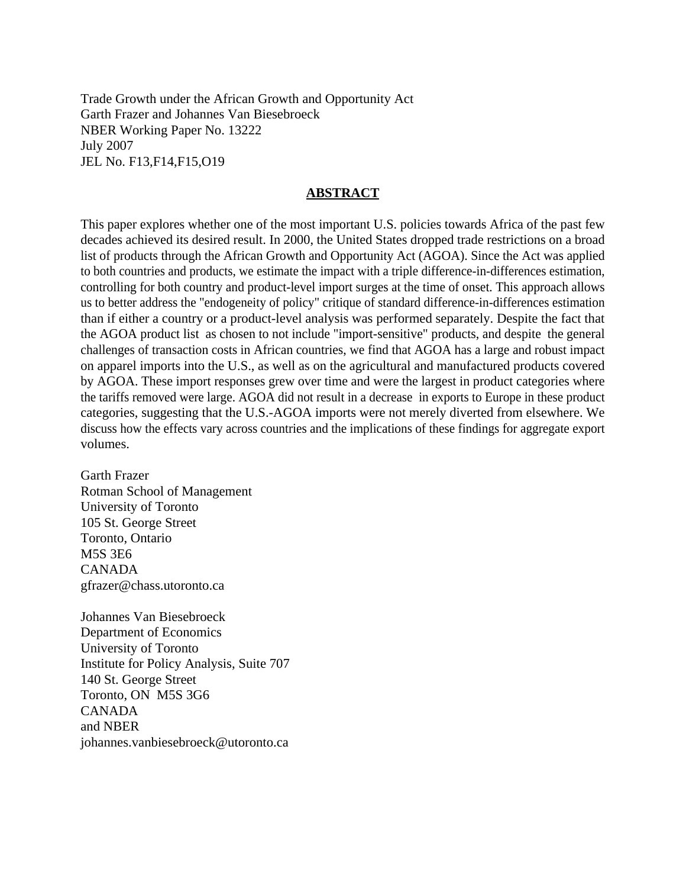Trade Growth under the African Growth and Opportunity Act Garth Frazer and Johannes Van Biesebroeck NBER Working Paper No. 13222 July 2007 JEL No. F13,F14,F15,O19

### **ABSTRACT**

This paper explores whether one of the most important U.S. policies towards Africa of the past few decades achieved its desired result. In 2000, the United States dropped trade restrictions on a broad list of products through the African Growth and Opportunity Act (AGOA). Since the Act was applied to both countries and products, we estimate the impact with a triple difference-in-differences estimation, controlling for both country and product-level import surges at the time of onset. This approach allows us to better address the "endogeneity of policy" critique of standard difference-in-differences estimation than if either a country or a product-level analysis was performed separately. Despite the fact that the AGOA product list as chosen to not include "import-sensitive" products, and despite the general challenges of transaction costs in African countries, we find that AGOA has a large and robust impact on apparel imports into the U.S., as well as on the agricultural and manufactured products covered by AGOA. These import responses grew over time and were the largest in product categories where the tariffs removed were large. AGOA did not result in a decrease in exports to Europe in these product categories, suggesting that the U.S.-AGOA imports were not merely diverted from elsewhere. We discuss how the effects vary across countries and the implications of these findings for aggregate export volumes.

Garth Frazer Rotman School of Management University of Toronto 105 St. George Street Toronto, Ontario M5S 3E6 CANADA gfrazer@chass.utoronto.ca

Johannes Van Biesebroeck Department of Economics University of Toronto Institute for Policy Analysis, Suite 707 140 St. George Street Toronto, ON M5S 3G6 CANADA and NBER johannes.vanbiesebroeck@utoronto.ca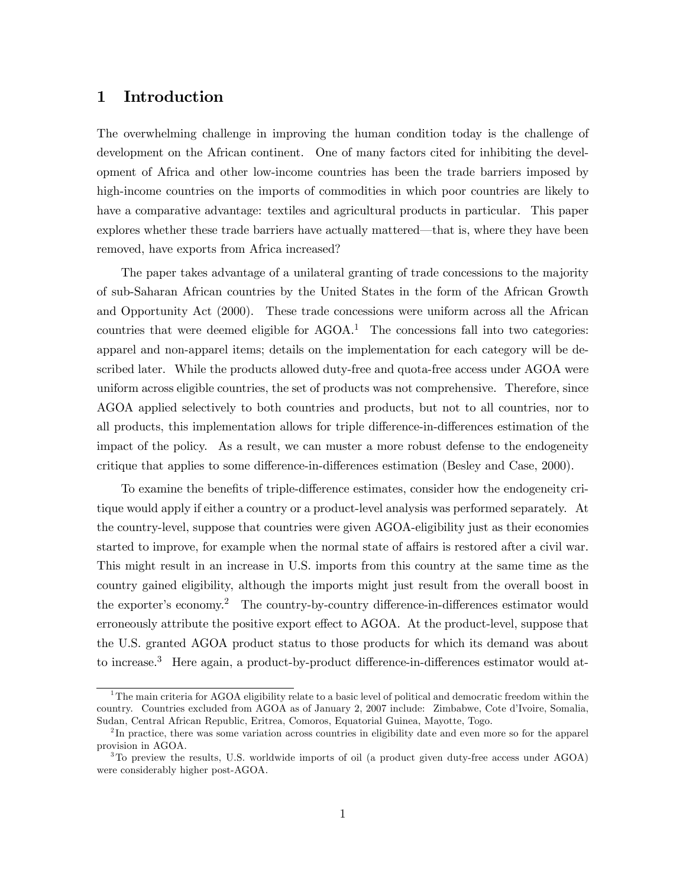### 1 Introduction

The overwhelming challenge in improving the human condition today is the challenge of development on the African continent. One of many factors cited for inhibiting the development of Africa and other low-income countries has been the trade barriers imposed by high-income countries on the imports of commodities in which poor countries are likely to have a comparative advantage: textiles and agricultural products in particular. This paper explores whether these trade barriers have actually mattered–that is, where they have been removed, have exports from Africa increased?

The paper takes advantage of a unilateral granting of trade concessions to the majority of sub-Saharan African countries by the United States in the form of the African Growth and Opportunity Act (2000). These trade concessions were uniform across all the African countries that were deemed eligible for  $AGOA<sup>1</sup>$ . The concessions fall into two categories: apparel and non-apparel items; details on the implementation for each category will be described later. While the products allowed duty-free and quota-free access under AGOA were uniform across eligible countries, the set of products was not comprehensive. Therefore, since AGOA applied selectively to both countries and products, but not to all countries, nor to all products, this implementation allows for triple difference-in-differences estimation of the impact of the policy. As a result, we can muster a more robust defense to the endogeneity critique that applies to some difference-in-differences estimation (Besley and Case, 2000).

To examine the benefits of triple-difference estimates, consider how the endogeneity critique would apply if either a country or a product-level analysis was performed separately. At the country-level, suppose that countries were given AGOA-eligibility just as their economies started to improve, for example when the normal state of affairs is restored after a civil war. This might result in an increase in U.S. imports from this country at the same time as the country gained eligibility, although the imports might just result from the overall boost in the exporter's economy.<sup>2</sup> The country-by-country difference-in-differences estimator would erroneously attribute the positive export effect to AGOA. At the product-level, suppose that the U.S. granted AGOA product status to those products for which its demand was about to increase.<sup>3</sup> Here again, a product-by-product difference-in-differences estimator would at-

<sup>&</sup>lt;sup>1</sup>The main criteria for AGOA eligibility relate to a basic level of political and democratic freedom within the country. Countries excluded from AGOA as of January 2, 2007 include: Zimbabwe, Cote d'Ivoire, Somalia, Sudan, Central African Republic, Eritrea, Comoros, Equatorial Guinea, Mayotte, Togo.

<sup>&</sup>lt;sup>2</sup>In practice, there was some variation across countries in eligibility date and even more so for the apparel provision in AGOA.

<sup>&</sup>lt;sup>3</sup>To preview the results, U.S. worldwide imports of oil (a product given duty-free access under AGOA) were considerably higher post-AGOA.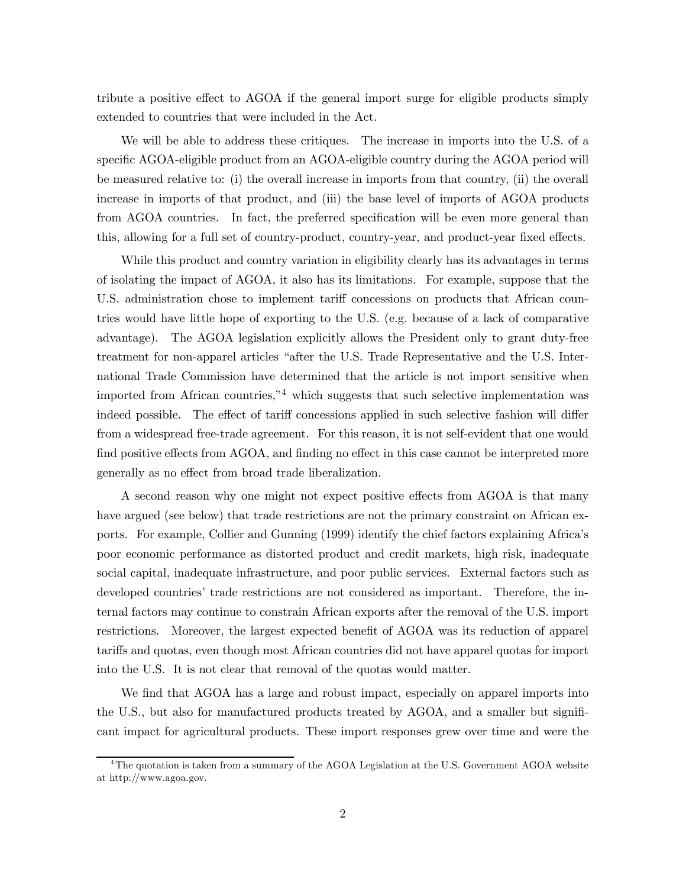tribute a positive effect to AGOA if the general import surge for eligible products simply extended to countries that were included in the Act.

We will be able to address these critiques. The increase in imports into the U.S. of a specific AGOA-eligible product from an AGOA-eligible country during the AGOA period will be measured relative to: (i) the overall increase in imports from that country, (ii) the overall increase in imports of that product, and (iii) the base level of imports of AGOA products from AGOA countries. In fact, the preferred specification will be even more general than this, allowing for a full set of country-product, country-year, and product-year fixed effects.

While this product and country variation in eligibility clearly has its advantages in terms of isolating the impact of AGOA, it also has its limitations. For example, suppose that the U.S. administration chose to implement tariff concessions on products that African countries would have little hope of exporting to the U.S. (e.g. because of a lack of comparative advantage). The AGOA legislation explicitly allows the President only to grant duty-free treatment for non-apparel articles "after the U.S. Trade Representative and the U.S. International Trade Commission have determined that the article is not import sensitive when imported from African countries,"4 which suggests that such selective implementation was indeed possible. The effect of tariff concessions applied in such selective fashion will differ from a widespread free-trade agreement. For this reason, it is not self-evident that one would find positive effects from AGOA, and finding no effect in this case cannot be interpreted more generally as no effect from broad trade liberalization.

A second reason why one might not expect positive effects from AGOA is that many have argued (see below) that trade restrictions are not the primary constraint on African exports. For example, Collier and Gunning (1999) identify the chief factors explaining Africa's poor economic performance as distorted product and credit markets, high risk, inadequate social capital, inadequate infrastructure, and poor public services. External factors such as developed countries' trade restrictions are not considered as important. Therefore, the internal factors may continue to constrain African exports after the removal of the U.S. import restrictions. Moreover, the largest expected benefit of AGOA was its reduction of apparel tariffs and quotas, even though most African countries did not have apparel quotas for import into the U.S. It is not clear that removal of the quotas would matter.

We find that AGOA has a large and robust impact, especially on apparel imports into the U.S., but also for manufactured products treated by AGOA, and a smaller but significant impact for agricultural products. These import responses grew over time and were the

<sup>&</sup>lt;sup>4</sup>The quotation is taken from a summary of the AGOA Legislation at the U.S. Government AGOA website at http://www.agoa.gov.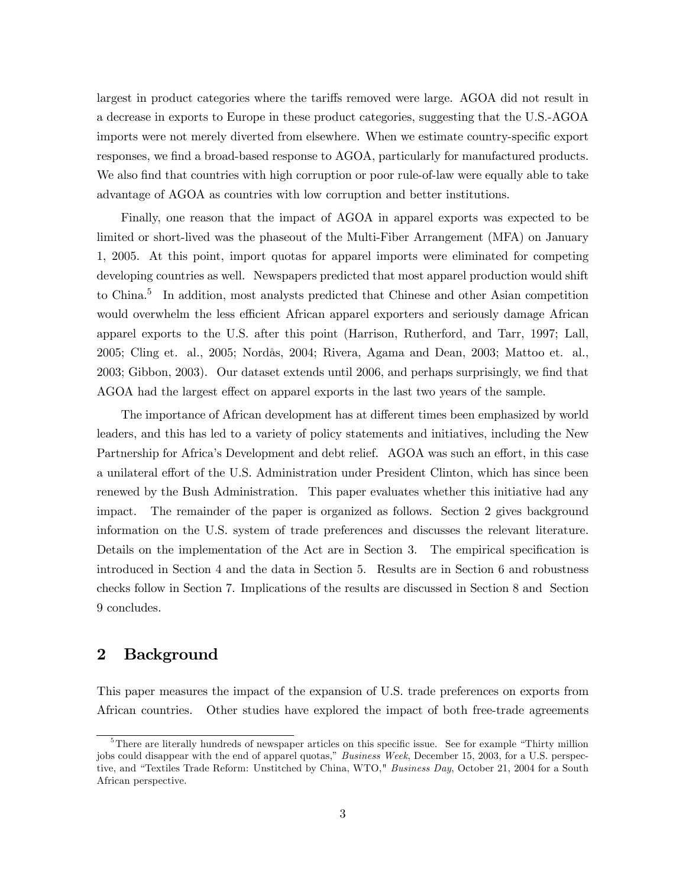largest in product categories where the tariffs removed were large. AGOA did not result in a decrease in exports to Europe in these product categories, suggesting that the U.S.-AGOA imports were not merely diverted from elsewhere. When we estimate country-specific export responses, we find a broad-based response to AGOA, particularly for manufactured products. We also find that countries with high corruption or poor rule-of-law were equally able to take advantage of AGOA as countries with low corruption and better institutions.

Finally, one reason that the impact of AGOA in apparel exports was expected to be limited or short-lived was the phaseout of the Multi-Fiber Arrangement (MFA) on January 1, 2005. At this point, import quotas for apparel imports were eliminated for competing developing countries as well. Newspapers predicted that most apparel production would shift to China.<sup>5</sup> In addition, most analysts predicted that Chinese and other Asian competition would overwhelm the less efficient African apparel exporters and seriously damage African apparel exports to the U.S. after this point (Harrison, Rutherford, and Tarr, 1997; Lall, 2005; Cling et. al., 2005; Nordås, 2004; Rivera, Agama and Dean, 2003; Mattoo et. al., 2003; Gibbon, 2003). Our dataset extends until 2006, and perhaps surprisingly, we find that AGOA had the largest effect on apparel exports in the last two years of the sample.

The importance of African development has at different times been emphasized by world leaders, and this has led to a variety of policy statements and initiatives, including the New Partnership for Africa's Development and debt relief. AGOA was such an effort, in this case a unilateral effort of the U.S. Administration under President Clinton, which has since been renewed by the Bush Administration. This paper evaluates whether this initiative had any impact. The remainder of the paper is organized as follows. Section 2 gives background information on the U.S. system of trade preferences and discusses the relevant literature. Details on the implementation of the Act are in Section 3. The empirical specification is introduced in Section 4 and the data in Section 5. Results are in Section 6 and robustness checks follow in Section 7. Implications of the results are discussed in Section 8 and Section 9 concludes.

## 2 Background

This paper measures the impact of the expansion of U.S. trade preferences on exports from African countries. Other studies have explored the impact of both free-trade agreements

<sup>&</sup>lt;sup>5</sup>There are literally hundreds of newspaper articles on this specific issue. See for example "Thirty million" jobs could disappear with the end of apparel quotas," Business Week, December 15, 2003, for a U.S. perspective, and "Textiles Trade Reform: Unstitched by China, WTO," Business Day, October 21, 2004 for a South African perspective.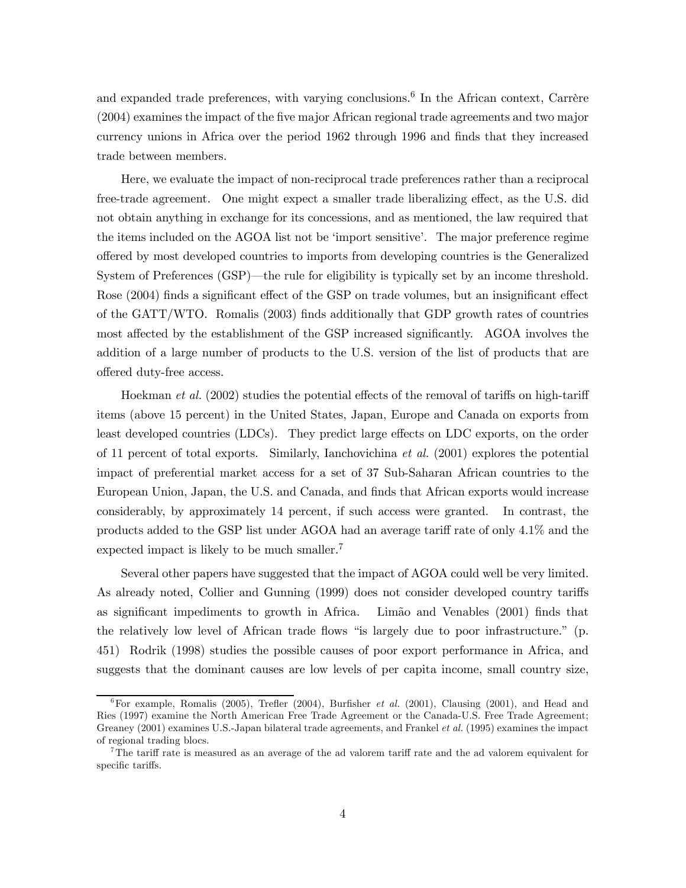and expanded trade preferences, with varying conclusions.<sup>6</sup> In the African context, Carrère (2004) examines the impact of the five major African regional trade agreements and two major currency unions in Africa over the period 1962 through 1996 and finds that they increased trade between members.

Here, we evaluate the impact of non-reciprocal trade preferences rather than a reciprocal free-trade agreement. One might expect a smaller trade liberalizing effect, as the U.S. did not obtain anything in exchange for its concessions, and as mentioned, the law required that the items included on the AGOA list not be 'import sensitive'. The major preference regime offered by most developed countries to imports from developing countries is the Generalized System of Preferences (GSP)–the rule for eligibility is typically set by an income threshold. Rose (2004) finds a significant effect of the GSP on trade volumes, but an insignificant effect of the GATT/WTO. Romalis (2003) finds additionally that GDP growth rates of countries most affected by the establishment of the GSP increased significantly. AGOA involves the addition of a large number of products to the U.S. version of the list of products that are offered duty-free access.

Hoekman et al. (2002) studies the potential effects of the removal of tariffs on high-tariff items (above 15 percent) in the United States, Japan, Europe and Canada on exports from least developed countries (LDCs). They predict large effects on LDC exports, on the order of 11 percent of total exports. Similarly, Ianchovichina et al. (2001) explores the potential impact of preferential market access for a set of 37 Sub-Saharan African countries to the European Union, Japan, the U.S. and Canada, and finds that African exports would increase considerably, by approximately 14 percent, if such access were granted. In contrast, the products added to the GSP list under AGOA had an average tariff rate of only 4.1% and the expected impact is likely to be much smaller.7

Several other papers have suggested that the impact of AGOA could well be very limited. As already noted, Collier and Gunning (1999) does not consider developed country tariffs as significant impediments to growth in Africa. Limão and Venables (2001) finds that the relatively low level of African trade flows "is largely due to poor infrastructure." (p. 451) Rodrik (1998) studies the possible causes of poor export performance in Africa, and suggests that the dominant causes are low levels of per capita income, small country size,

 $6$ For example, Romalis (2005), Trefler (2004), Burfisher *et al.* (2001), Clausing (2001), and Head and Ries (1997) examine the North American Free Trade Agreement or the Canada-U.S. Free Trade Agreement; Greaney (2001) examines U.S.-Japan bilateral trade agreements, and Frankel et al. (1995) examines the impact of regional trading blocs.

<sup>&</sup>lt;sup>7</sup>The tariff rate is measured as an average of the ad valorem tariff rate and the ad valorem equivalent for specific tariffs.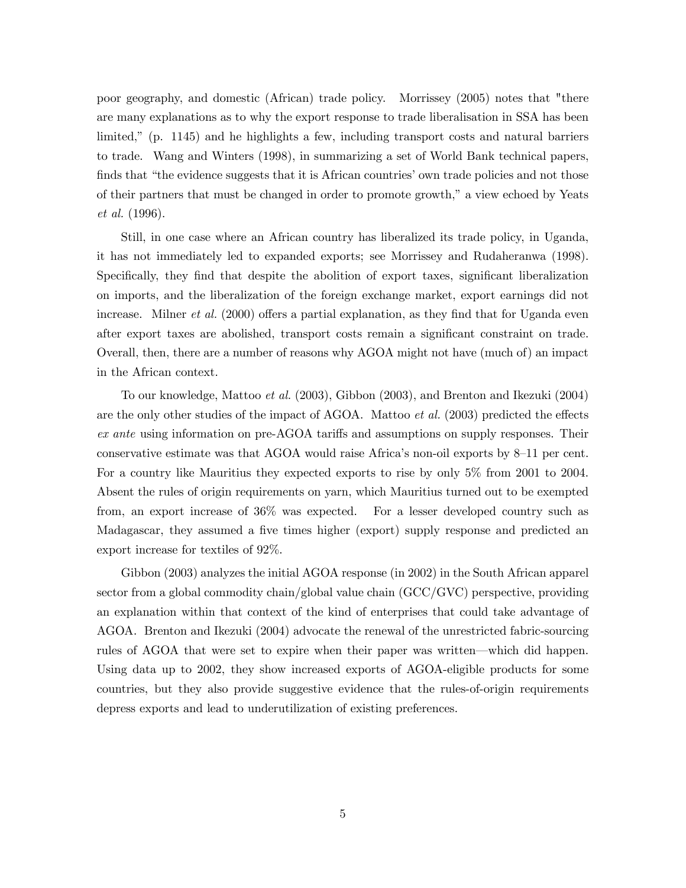poor geography, and domestic (African) trade policy. Morrissey (2005) notes that "there are many explanations as to why the export response to trade liberalisation in SSA has been limited," (p. 1145) and he highlights a few, including transport costs and natural barriers to trade. Wang and Winters (1998), in summarizing a set of World Bank technical papers, finds that "the evidence suggests that it is African countries' own trade policies and not those of their partners that must be changed in order to promote growth," a view echoed by Yeats et al. (1996).

Still, in one case where an African country has liberalized its trade policy, in Uganda, it has not immediately led to expanded exports; see Morrissey and Rudaheranwa (1998). Specifically, they find that despite the abolition of export taxes, significant liberalization on imports, and the liberalization of the foreign exchange market, export earnings did not increase. Milner *et al.* (2000) offers a partial explanation, as they find that for Uganda even after export taxes are abolished, transport costs remain a significant constraint on trade. Overall, then, there are a number of reasons why AGOA might not have (much of) an impact in the African context.

To our knowledge, Mattoo et al. (2003), Gibbon (2003), and Brenton and Ikezuki (2004) are the only other studies of the impact of AGOA. Mattoo et al. (2003) predicted the effects ex ante using information on pre-AGOA tariffs and assumptions on supply responses. Their conservative estimate was that AGOA would raise Africa's non-oil exports by 8—11 per cent. For a country like Mauritius they expected exports to rise by only 5% from 2001 to 2004. Absent the rules of origin requirements on yarn, which Mauritius turned out to be exempted from, an export increase of 36% was expected. For a lesser developed country such as Madagascar, they assumed a five times higher (export) supply response and predicted an export increase for textiles of 92%.

Gibbon (2003) analyzes the initial AGOA response (in 2002) in the South African apparel sector from a global commodity chain/global value chain (GCC/GVC) perspective, providing an explanation within that context of the kind of enterprises that could take advantage of AGOA. Brenton and Ikezuki (2004) advocate the renewal of the unrestricted fabric-sourcing rules of AGOA that were set to expire when their paper was written–which did happen. Using data up to 2002, they show increased exports of AGOA-eligible products for some countries, but they also provide suggestive evidence that the rules-of-origin requirements depress exports and lead to underutilization of existing preferences.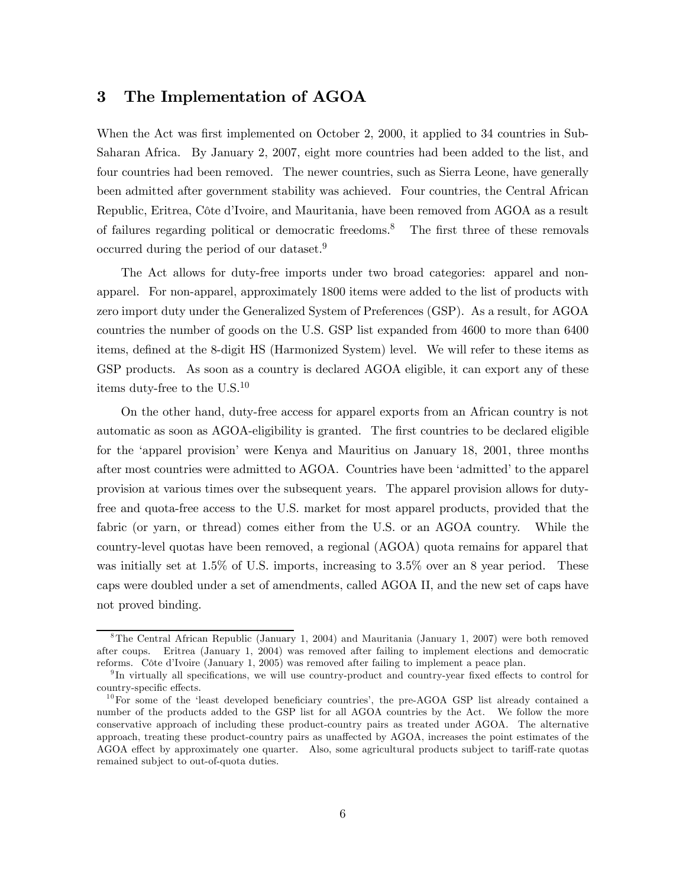### 3 The Implementation of AGOA

When the Act was first implemented on October 2, 2000, it applied to 34 countries in Sub-Saharan Africa. By January 2, 2007, eight more countries had been added to the list, and four countries had been removed. The newer countries, such as Sierra Leone, have generally been admitted after government stability was achieved. Four countries, the Central African Republic, Eritrea, Côte d'Ivoire, and Mauritania, have been removed from AGOA as a result of failures regarding political or democratic freedoms.8 The first three of these removals occurred during the period of our dataset.9

The Act allows for duty-free imports under two broad categories: apparel and nonapparel. For non-apparel, approximately 1800 items were added to the list of products with zero import duty under the Generalized System of Preferences (GSP). As a result, for AGOA countries the number of goods on the U.S. GSP list expanded from 4600 to more than 6400 items, defined at the 8-digit HS (Harmonized System) level. We will refer to these items as GSP products. As soon as a country is declared AGOA eligible, it can export any of these items duty-free to the  $U.S.<sup>10</sup>$ 

On the other hand, duty-free access for apparel exports from an African country is not automatic as soon as AGOA-eligibility is granted. The first countries to be declared eligible for the 'apparel provision' were Kenya and Mauritius on January 18, 2001, three months after most countries were admitted to AGOA. Countries have been 'admitted' to the apparel provision at various times over the subsequent years. The apparel provision allows for dutyfree and quota-free access to the U.S. market for most apparel products, provided that the fabric (or yarn, or thread) comes either from the U.S. or an AGOA country. While the country-level quotas have been removed, a regional (AGOA) quota remains for apparel that was initially set at 1.5% of U.S. imports, increasing to 3.5% over an 8 year period. These caps were doubled under a set of amendments, called AGOA II, and the new set of caps have not proved binding.

<sup>8</sup>The Central African Republic (January 1, 2004) and Mauritania (January 1, 2007) were both removed after coups. Eritrea (January 1, 2004) was removed after failing to implement elections and democratic reforms. Côte d'Ivoire (January 1, 2005) was removed after failing to implement a peace plan.

<sup>9</sup> In virtually all specifications, we will use country-product and country-year fixed effects to control for country-specific effects.

 $10$ For some of the 'least developed beneficiary countries', the pre-AGOA GSP list already contained a number of the products added to the GSP list for all AGOA countries by the Act. We follow the more conservative approach of including these product-country pairs as treated under AGOA. The alternative approach, treating these product-country pairs as unaffected by AGOA, increases the point estimates of the AGOA effect by approximately one quarter. Also, some agricultural products subject to tariff-rate quotas remained subject to out-of-quota duties.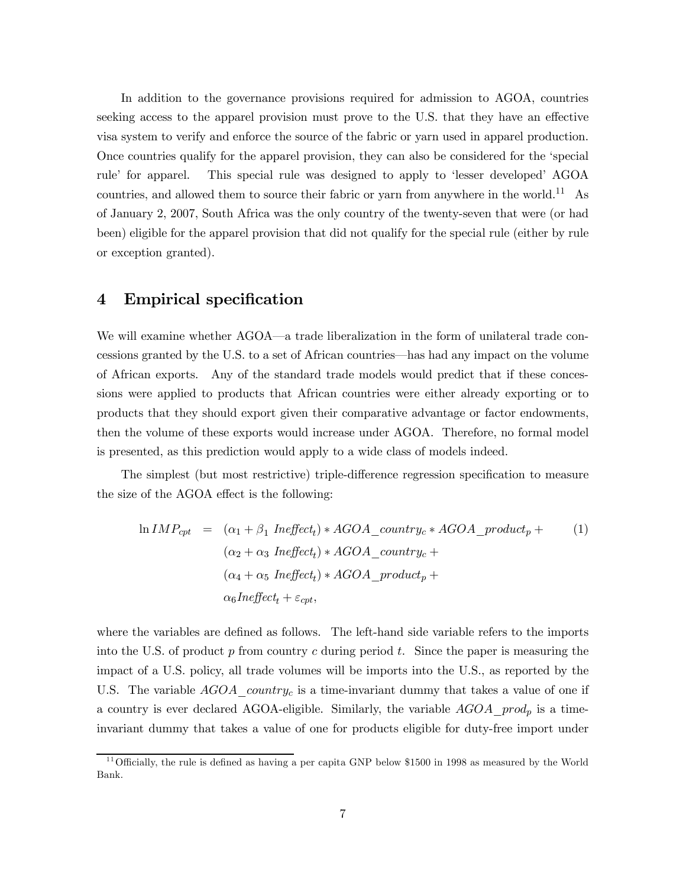In addition to the governance provisions required for admission to AGOA, countries seeking access to the apparel provision must prove to the U.S. that they have an effective visa system to verify and enforce the source of the fabric or yarn used in apparel production. Once countries qualify for the apparel provision, they can also be considered for the 'special rule' for apparel. This special rule was designed to apply to 'lesser developed' AGOA countries, and allowed them to source their fabric or yarn from anywhere in the world.<sup>11</sup> As of January 2, 2007, South Africa was the only country of the twenty-seven that were (or had been) eligible for the apparel provision that did not qualify for the special rule (either by rule or exception granted).

### 4 Empirical specification

We will examine whether AGOA–a trade liberalization in the form of unilateral trade concessions granted by the U.S. to a set of African countries–has had any impact on the volume of African exports. Any of the standard trade models would predict that if these concessions were applied to products that African countries were either already exporting or to products that they should export given their comparative advantage or factor endowments, then the volume of these exports would increase under AGOA. Therefore, no formal model is presented, as this prediction would apply to a wide class of models indeed.

The simplest (but most restrictive) triple-difference regression specification to measure the size of the AGOA effect is the following:

$$
\ln IMP_{cpt} = (\alpha_1 + \beta_1 \; Ineffect_t) * AGOA\_country_c * AGOA\_product_p + (\alpha_2 + \alpha_3 \; Ineffect_t) * AGOA\_country_c + (\alpha_4 + \alpha_5 \; Ineffect_t) * AGOA\_product_p + \alpha_6 Ineffect_t + \varepsilon_{cpt},
$$
 (1)

where the variables are defined as follows. The left-hand side variable refers to the imports into the U.S. of product  $p$  from country c during period  $t$ . Since the paper is measuring the impact of a U.S. policy, all trade volumes will be imports into the U.S., as reported by the U.S. The variable  $AGOA\_country_c$  is a time-invariant dummy that takes a value of one if a country is ever declared AGOA-eligible. Similarly, the variable  $AGOA\_prod$  is a timeinvariant dummy that takes a value of one for products eligible for duty-free import under

 $11$ Officially, the rule is defined as having a per capita GNP below \$1500 in 1998 as measured by the World Bank.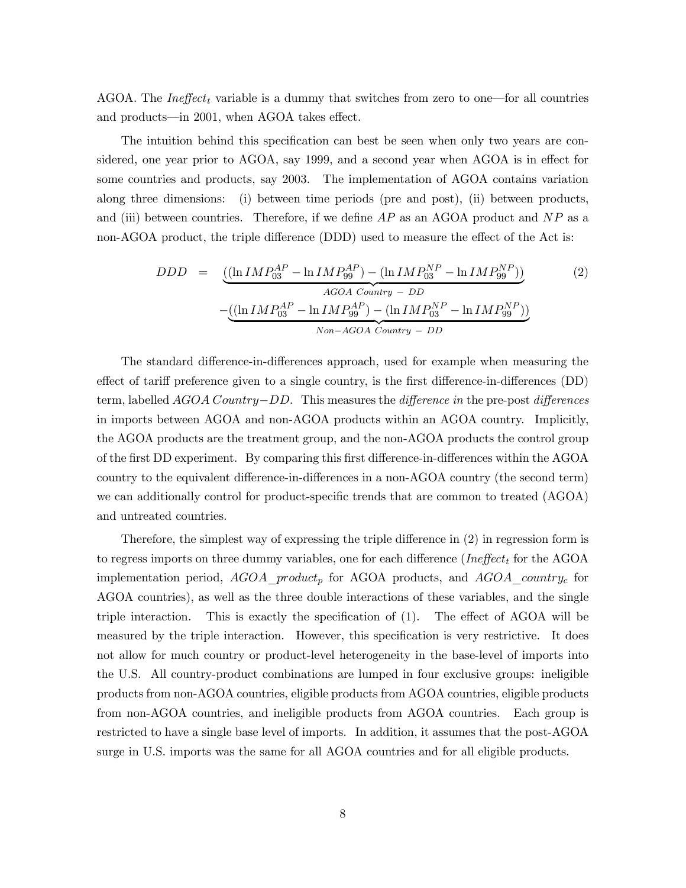AGOA. The *Ineffect<sub>t</sub>* variable is a dummy that switches from zero to one—for all countries and products–in 2001, when AGOA takes effect.

The intuition behind this specification can best be seen when only two years are considered, one year prior to AGOA, say 1999, and a second year when AGOA is in effect for some countries and products, say 2003. The implementation of AGOA contains variation along three dimensions: (i) between time periods (pre and post), (ii) between products, and (iii) between countries. Therefore, if we define  $AP$  as an AGOA product and  $NP$  as a non-AGOA product, the triple difference (DDD) used to measure the effect of the Act is:

$$
DDD = \underbrace{((\ln IMP_{03}^{AP} - \ln IMP_{99}^{AP}) - (\ln IMP_{03}^{NP} - \ln IMP_{99}^{NP}))}_{AGOA \text{ Country} - DD}
$$
\n
$$
-\underbrace{((\ln IMP_{03}^{AP} - \ln IMP_{99}^{AP}) - (\ln IMP_{03}^{NP} - \ln IMP_{99}^{NP}))}_{Non-AGOA \text{ Country} - DD}
$$
\n(2)

The standard difference-in-differences approach, used for example when measuring the effect of tariff preference given to a single country, is the first difference-in-differences (DD) term, labelled AGOA Country−DD. This measures the difference in the pre-post differences in imports between AGOA and non-AGOA products within an AGOA country. Implicitly, the AGOA products are the treatment group, and the non-AGOA products the control group of the first DD experiment. By comparing this first difference-in-differences within the AGOA country to the equivalent difference-in-differences in a non-AGOA country (the second term) we can additionally control for product-specific trends that are common to treated (AGOA) and untreated countries.

Therefore, the simplest way of expressing the triple difference in (2) in regression form is to regress imports on three dummy variables, one for each difference  $(In effect<sub>t</sub>$  for the AGOA implementation period,  $AGOA\_product_p$  for AGOA products, and  $AGOA\_country_c$  for AGOA countries), as well as the three double interactions of these variables, and the single triple interaction. This is exactly the specification of (1). The effect of AGOA will be measured by the triple interaction. However, this specification is very restrictive. It does not allow for much country or product-level heterogeneity in the base-level of imports into the U.S. All country-product combinations are lumped in four exclusive groups: ineligible products from non-AGOA countries, eligible products from AGOA countries, eligible products from non-AGOA countries, and ineligible products from AGOA countries. Each group is restricted to have a single base level of imports. In addition, it assumes that the post-AGOA surge in U.S. imports was the same for all AGOA countries and for all eligible products.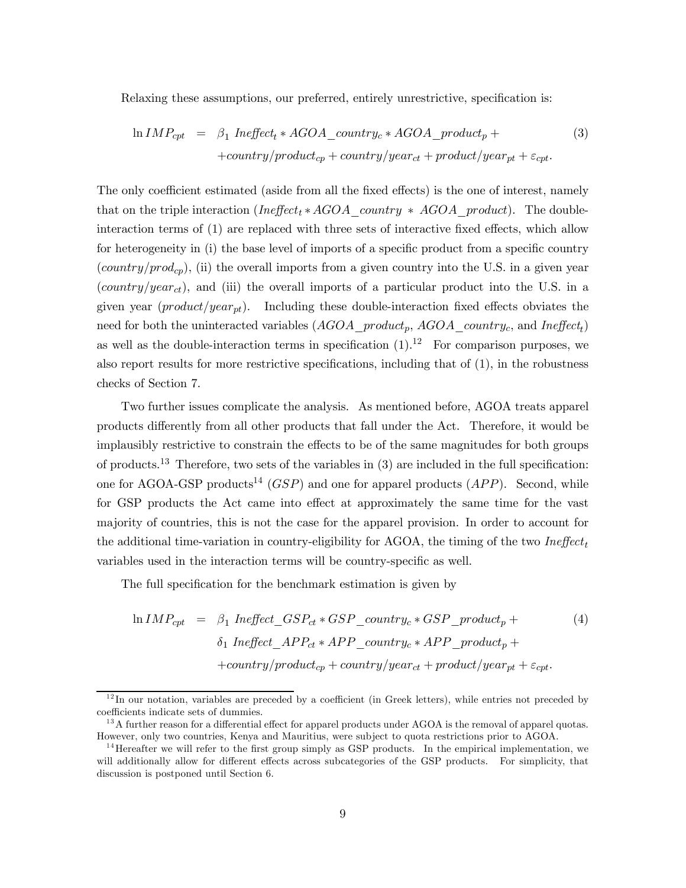Relaxing these assumptions, our preferred, entirely unrestrictive, specification is:

$$
\ln IMP_{cpt} = \beta_1 \text{ Ineffect}_t * AGOA\_country_c * AGOA\_product_p + \n+ country/product_{cp} + country/year_{ct} + product/year_{pt} + \varepsilon_{cpt}.
$$
\n(3)

The only coefficient estimated (aside from all the fixed effects) is the one of interest, namely that on the triple interaction (Ineffect<sub>t</sub> ∗ AGOA country \* AGOA product). The doubleinteraction terms of (1) are replaced with three sets of interactive fixed effects, which allow for heterogeneity in (i) the base level of imports of a specific product from a specific country (country/prod<sub>cp</sub>), (ii) the overall imports from a given country into the U.S. in a given year (country/year<sub>ct</sub>), and (iii) the overall imports of a particular product into the U.S. in a given year  $(preduct/year_{pt})$ . Including these double-interaction fixed effects obviates the need for both the uninteracted variables  $(AGOA\_product_p, AGOA\_country_c,$  and  $Ineffect_t)$ as well as the double-interaction terms in specification  $(1).^{12}$  For comparison purposes, we also report results for more restrictive specifications, including that of (1), in the robustness checks of Section 7.

Two further issues complicate the analysis. As mentioned before, AGOA treats apparel products differently from all other products that fall under the Act. Therefore, it would be implausibly restrictive to constrain the effects to be of the same magnitudes for both groups of products.<sup>13</sup> Therefore, two sets of the variables in  $(3)$  are included in the full specification: one for AGOA-GSP products<sup>14</sup> (*GSP*) and one for apparel products  $(APP)$ . Second, while for GSP products the Act came into effect at approximately the same time for the vast majority of countries, this is not the case for the apparel provision. In order to account for the additional time-variation in country-eligibility for AGOA, the timing of the two  $In effect<sub>t</sub>$ variables used in the interaction terms will be country-specific as well.

The full specification for the benchmark estimation is given by

$$
\ln IMP_{cpt} = \beta_1 \; Ineffect\_GSP_{ct} * GSP\_country_c * GSP\_product_p + \delta_1 \; Ineffect\_APP_{ct} * APP\_country_c * APP\_product_p + \n+ country/product_{cp} + country/year_{ct} + product/year_{pt} + \varepsilon_{cpt}.
$$
\n(4)

 $12$ In our notation, variables are preceded by a coefficient (in Greek letters), while entries not preceded by coefficients indicate sets of dummies.

 $13A$  further reason for a differential effect for apparel products under AGOA is the removal of apparel quotas. However, only two countries, Kenya and Mauritius, were subject to quota restrictions prior to AGOA.

 $14$  Hereafter we will refer to the first group simply as GSP products. In the empirical implementation, we will additionally allow for different effects across subcategories of the GSP products. For simplicity, that discussion is postponed until Section 6.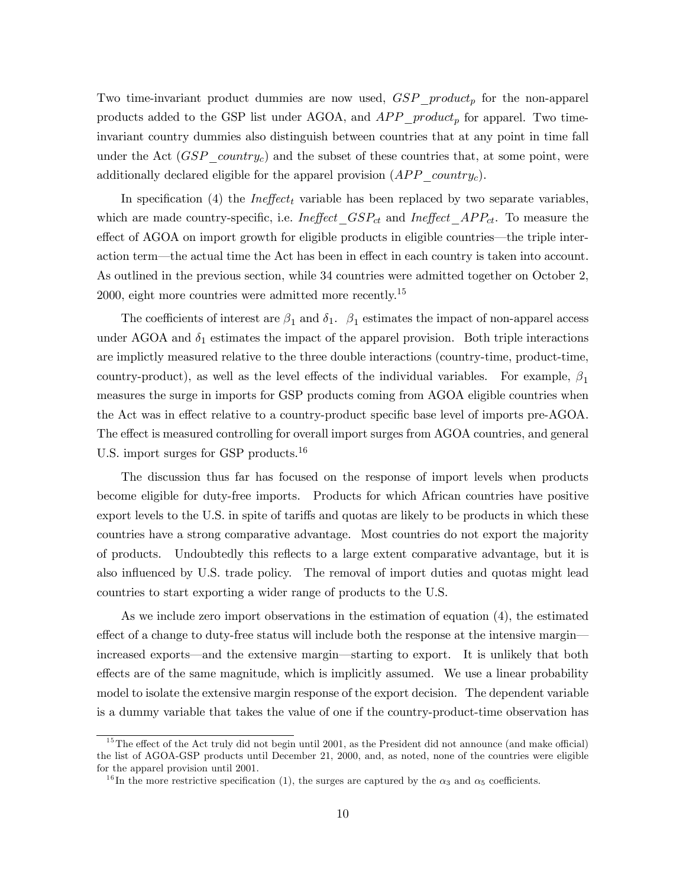Two time-invariant product dummies are now used,  $GSP\_product_p$  for the non-apparel products added to the GSP list under AGOA, and  $APP\_product_p$  for apparel. Two timeinvariant country dummies also distinguish between countries that at any point in time fall under the Act  $(GSP\,country_c)$  and the subset of these countries that, at some point, were additionally declared eligible for the apparel provision  $(APP\_country_c)$ .

In specification (4) the *Ineffect*<sub>t</sub> variable has been replaced by two separate variables, which are made country-specific, i.e. *Ineffect*  $\_GSP_{ct}$  and *Ineffect*  $\_APP_{ct}$ . To measure the effect of AGOA on import growth for eligible products in eligible countries–the triple interaction term–the actual time the Act has been in effect in each country is taken into account. As outlined in the previous section, while 34 countries were admitted together on October 2, 2000, eight more countries were admitted more recently.15

The coefficients of interest are  $\beta_1$  and  $\delta_1$ .  $\beta_1$  estimates the impact of non-apparel access under AGOA and  $\delta_1$  estimates the impact of the apparel provision. Both triple interactions are implictly measured relative to the three double interactions (country-time, product-time, country-product), as well as the level effects of the individual variables. For example,  $\beta_1$ measures the surge in imports for GSP products coming from AGOA eligible countries when the Act was in effect relative to a country-product specific base level of imports pre-AGOA. The effect is measured controlling for overall import surges from AGOA countries, and general U.S. import surges for GSP products.<sup>16</sup>

The discussion thus far has focused on the response of import levels when products become eligible for duty-free imports. Products for which African countries have positive export levels to the U.S. in spite of tariffs and quotas are likely to be products in which these countries have a strong comparative advantage. Most countries do not export the majority of products. Undoubtedly this reflects to a large extent comparative advantage, but it is also influenced by U.S. trade policy. The removal of import duties and quotas might lead countries to start exporting a wider range of products to the U.S.

As we include zero import observations in the estimation of equation (4), the estimated effect of a change to duty-free status will include both the response at the intensive margin– increased exports–and the extensive margin–starting to export. It is unlikely that both effects are of the same magnitude, which is implicitly assumed. We use a linear probability model to isolate the extensive margin response of the export decision. The dependent variable is a dummy variable that takes the value of one if the country-product-time observation has

 $15$ The effect of the Act truly did not begin until 2001, as the President did not announce (and make official) the list of AGOA-GSP products until December 21, 2000, and, as noted, none of the countries were eligible for the apparel provision until 2001.

<sup>&</sup>lt;sup>16</sup>In the more restrictive specification (1), the surges are captured by the  $\alpha_3$  and  $\alpha_5$  coefficients.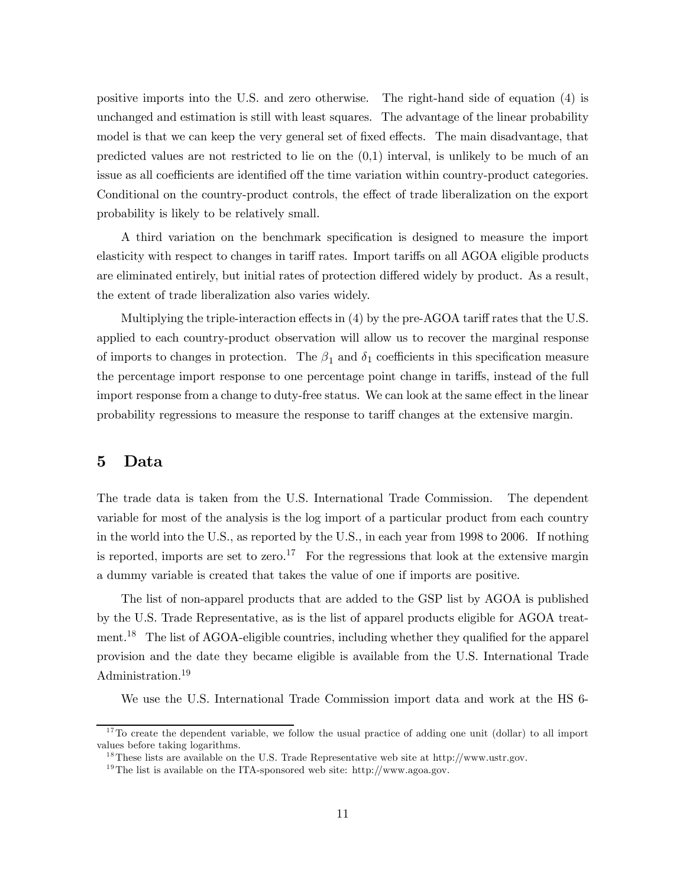positive imports into the U.S. and zero otherwise. The right-hand side of equation (4) is unchanged and estimation is still with least squares. The advantage of the linear probability model is that we can keep the very general set of fixed effects. The main disadvantage, that predicted values are not restricted to lie on the  $(0,1)$  interval, is unlikely to be much of an issue as all coefficients are identified off the time variation within country-product categories. Conditional on the country-product controls, the effect of trade liberalization on the export probability is likely to be relatively small.

A third variation on the benchmark specification is designed to measure the import elasticity with respect to changes in tariff rates. Import tariffs on all AGOA eligible products are eliminated entirely, but initial rates of protection differed widely by product. As a result, the extent of trade liberalization also varies widely.

Multiplying the triple-interaction effects in (4) by the pre-AGOA tariff rates that the U.S. applied to each country-product observation will allow us to recover the marginal response of imports to changes in protection. The  $\beta_1$  and  $\delta_1$  coefficients in this specification measure the percentage import response to one percentage point change in tariffs, instead of the full import response from a change to duty-free status. We can look at the same effect in the linear probability regressions to measure the response to tariff changes at the extensive margin.

### 5 Data

The trade data is taken from the U.S. International Trade Commission. The dependent variable for most of the analysis is the log import of a particular product from each country in the world into the U.S., as reported by the U.S., in each year from 1998 to 2006. If nothing is reported, imports are set to zero.<sup>17</sup> For the regressions that look at the extensive margin a dummy variable is created that takes the value of one if imports are positive.

The list of non-apparel products that are added to the GSP list by AGOA is published by the U.S. Trade Representative, as is the list of apparel products eligible for AGOA treatment.<sup>18</sup> The list of AGOA-eligible countries, including whether they qualified for the apparel provision and the date they became eligible is available from the U.S. International Trade Administration.<sup>19</sup>

We use the U.S. International Trade Commission import data and work at the HS 6-

 $17$ To create the dependent variable, we follow the usual practice of adding one unit (dollar) to all import values before taking logarithms.

<sup>&</sup>lt;sup>18</sup>These lists are available on the U.S. Trade Representative web site at http://www.ustr.gov.

 $19$ The list is available on the ITA-sponsored web site: http://www.agoa.gov.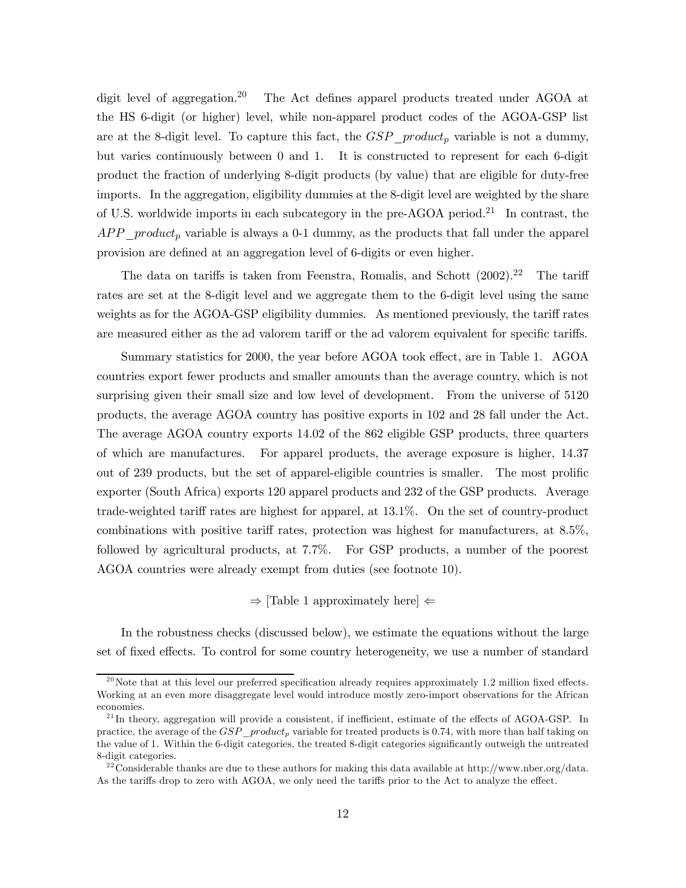digit level of aggregation.<sup>20</sup> The Act defines apparel products treated under AGOA at the HS 6-digit (or higher) level, while non-apparel product codes of the AGOA-GSP list are at the 8-digit level. To capture this fact, the  $GSP$  product<sub>p</sub> variable is not a dummy, but varies continuously between 0 and 1. It is constructed to represent for each 6-digit product the fraction of underlying 8-digit products (by value) that are eligible for duty-free imports. In the aggregation, eligibility dummies at the 8-digit level are weighted by the share of U.S. worldwide imports in each subcategory in the pre-AGOA period.<sup>21</sup> In contrast, the  $APP\_product_p$  variable is always a 0-1 dummy, as the products that fall under the apparel provision are defined at an aggregation level of 6-digits or even higher.

The data on tariffs is taken from Feenstra, Romalis, and Schott  $(2002).^{22}$  The tariff rates are set at the 8-digit level and we aggregate them to the 6-digit level using the same weights as for the AGOA-GSP eligibility dummies. As mentioned previously, the tariff rates are measured either as the ad valorem tariff or the ad valorem equivalent for specific tariffs.

Summary statistics for 2000, the year before AGOA took effect, are in Table 1. AGOA countries export fewer products and smaller amounts than the average country, which is not surprising given their small size and low level of development. From the universe of 5120 products, the average AGOA country has positive exports in 102 and 28 fall under the Act. The average AGOA country exports 14.02 of the 862 eligible GSP products, three quarters of which are manufactures. For apparel products, the average exposure is higher, 14.37 out of 239 products, but the set of apparel-eligible countries is smaller. The most prolific exporter (South Africa) exports 120 apparel products and 232 of the GSP products. Average trade-weighted tariff rates are highest for apparel, at 13.1%. On the set of country-product combinations with positive tariff rates, protection was highest for manufacturers, at 8.5%, followed by agricultural products, at 7.7%. For GSP products, a number of the poorest AGOA countries were already exempt from duties (see footnote 10).

 $\Rightarrow$  [Table 1 approximately here]  $\Leftarrow$ 

In the robustness checks (discussed below), we estimate the equations without the large set of fixed effects. To control for some country heterogeneity, we use a number of standard

 $^{20}$ Note that at this level our preferred specification already requires approximately 1.2 million fixed effects. Working at an even more disaggregate level would introduce mostly zero-import observations for the African economies.

 $^{21}$ In theory, aggregation will provide a consistent, if inefficient, estimate of the effects of AGOA-GSP. In practice, the average of the  $GSP$  product<sub>p</sub> variable for treated products is 0.74, with more than half taking on the value of 1. Within the 6-digit categories, the treated 8-digit categories significantly outweigh the untreated 8-digit categories.

<sup>&</sup>lt;sup>22</sup> Considerable thanks are due to these authors for making this data available at http://www.nber.org/data. As the tariffs drop to zero with AGOA, we only need the tariffs prior to the Act to analyze the effect.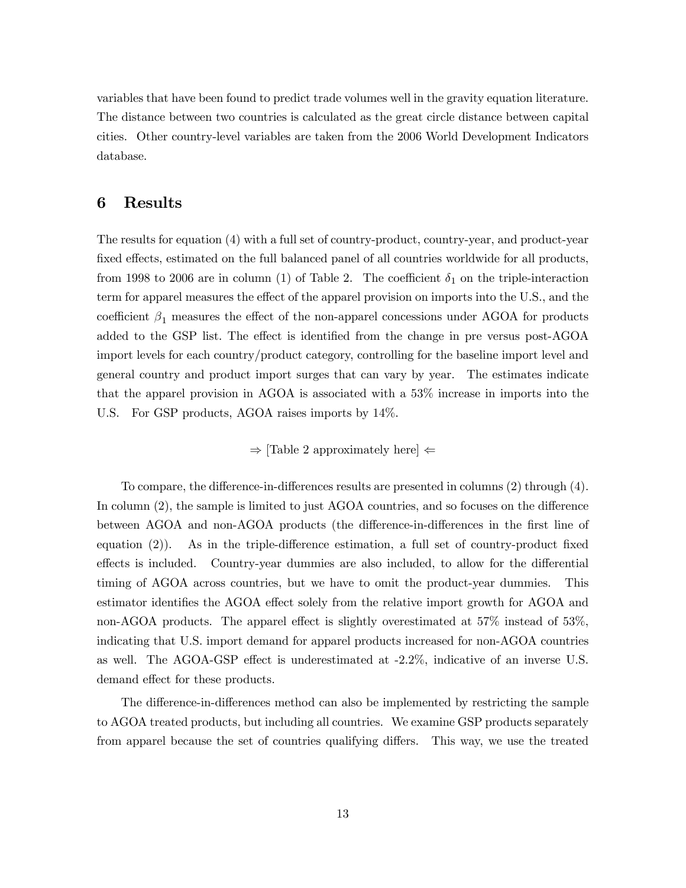variables that have been found to predict trade volumes well in the gravity equation literature. The distance between two countries is calculated as the great circle distance between capital cities. Other country-level variables are taken from the 2006 World Development Indicators database.

## 6 Results

The results for equation (4) with a full set of country-product, country-year, and product-year fixed effects, estimated on the full balanced panel of all countries worldwide for all products, from 1998 to 2006 are in column (1) of Table 2. The coefficient  $\delta_1$  on the triple-interaction term for apparel measures the effect of the apparel provision on imports into the U.S., and the coefficient  $\beta_1$  measures the effect of the non-apparel concessions under AGOA for products added to the GSP list. The effect is identified from the change in pre versus post-AGOA import levels for each country/product category, controlling for the baseline import level and general country and product import surges that can vary by year. The estimates indicate that the apparel provision in AGOA is associated with a 53% increase in imports into the U.S. For GSP products, AGOA raises imports by 14%.

 $\Rightarrow$  [Table 2 approximately here]  $\Leftarrow$ 

To compare, the difference-in-differences results are presented in columns (2) through (4). In column (2), the sample is limited to just AGOA countries, and so focuses on the difference between AGOA and non-AGOA products (the difference-in-differences in the first line of equation  $(2)$ ). As in the triple-difference estimation, a full set of country-product fixed effects is included. Country-year dummies are also included, to allow for the differential timing of AGOA across countries, but we have to omit the product-year dummies. This estimator identifies the AGOA effect solely from the relative import growth for AGOA and non-AGOA products. The apparel effect is slightly overestimated at 57% instead of 53%, indicating that U.S. import demand for apparel products increased for non-AGOA countries as well. The AGOA-GSP effect is underestimated at -2.2%, indicative of an inverse U.S. demand effect for these products.

The difference-in-differences method can also be implemented by restricting the sample to AGOA treated products, but including all countries. We examine GSP products separately from apparel because the set of countries qualifying differs. This way, we use the treated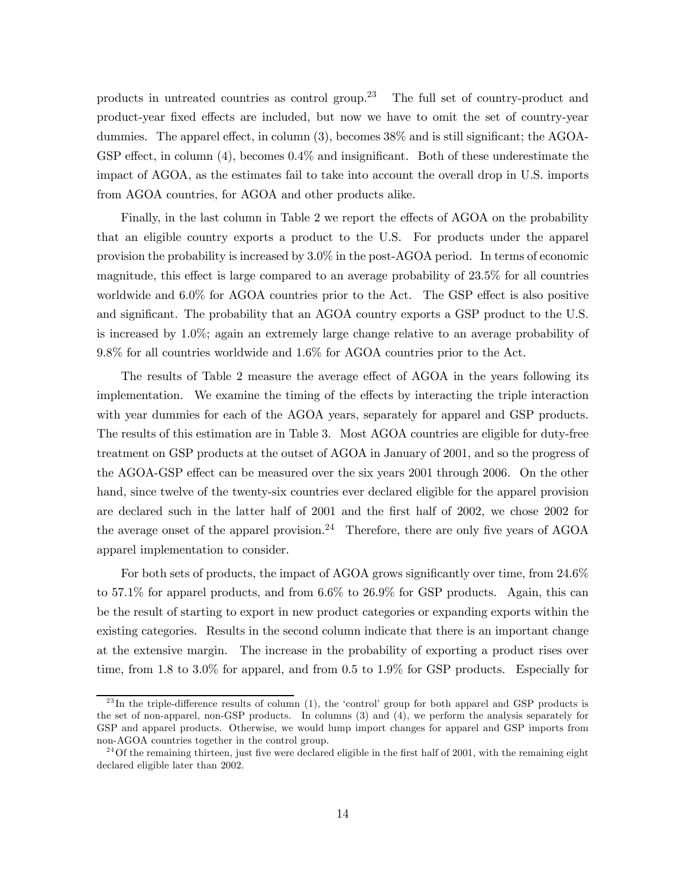products in untreated countries as control group.23 The full set of country-product and product-year fixed effects are included, but now we have to omit the set of country-year dummies. The apparel effect, in column (3), becomes 38% and is still significant; the AGOA-GSP effect, in column (4), becomes 0.4% and insignificant. Both of these underestimate the impact of AGOA, as the estimates fail to take into account the overall drop in U.S. imports from AGOA countries, for AGOA and other products alike.

Finally, in the last column in Table 2 we report the effects of AGOA on the probability that an eligible country exports a product to the U.S. For products under the apparel provision the probability is increased by 3.0% in the post-AGOA period. In terms of economic magnitude, this effect is large compared to an average probability of 23.5% for all countries worldwide and  $6.0\%$  for AGOA countries prior to the Act. The GSP effect is also positive and significant. The probability that an AGOA country exports a GSP product to the U.S. is increased by 1.0%; again an extremely large change relative to an average probability of 9.8% for all countries worldwide and 1.6% for AGOA countries prior to the Act.

The results of Table 2 measure the average effect of AGOA in the years following its implementation. We examine the timing of the effects by interacting the triple interaction with year dummies for each of the AGOA years, separately for apparel and GSP products. The results of this estimation are in Table 3. Most AGOA countries are eligible for duty-free treatment on GSP products at the outset of AGOA in January of 2001, and so the progress of the AGOA-GSP effect can be measured over the six years 2001 through 2006. On the other hand, since twelve of the twenty-six countries ever declared eligible for the apparel provision are declared such in the latter half of 2001 and the first half of 2002, we chose 2002 for the average onset of the apparel provision.<sup>24</sup> Therefore, there are only five years of AGOA apparel implementation to consider.

For both sets of products, the impact of AGOA grows significantly over time, from 24.6% to 57.1% for apparel products, and from 6.6% to 26.9% for GSP products. Again, this can be the result of starting to export in new product categories or expanding exports within the existing categories. Results in the second column indicate that there is an important change at the extensive margin. The increase in the probability of exporting a product rises over time, from 1.8 to 3.0% for apparel, and from 0.5 to 1.9% for GSP products. Especially for

 $^{23}$ In the triple-difference results of column (1), the 'control' group for both apparel and GSP products is the set of non-apparel, non-GSP products. In columns (3) and (4), we perform the analysis separately for GSP and apparel products. Otherwise, we would lump import changes for apparel and GSP imports from non-AGOA countries together in the control group.

 $2<sup>24</sup>$ Of the remaining thirteen, just five were declared eligible in the first half of 2001, with the remaining eight declared eligible later than 2002.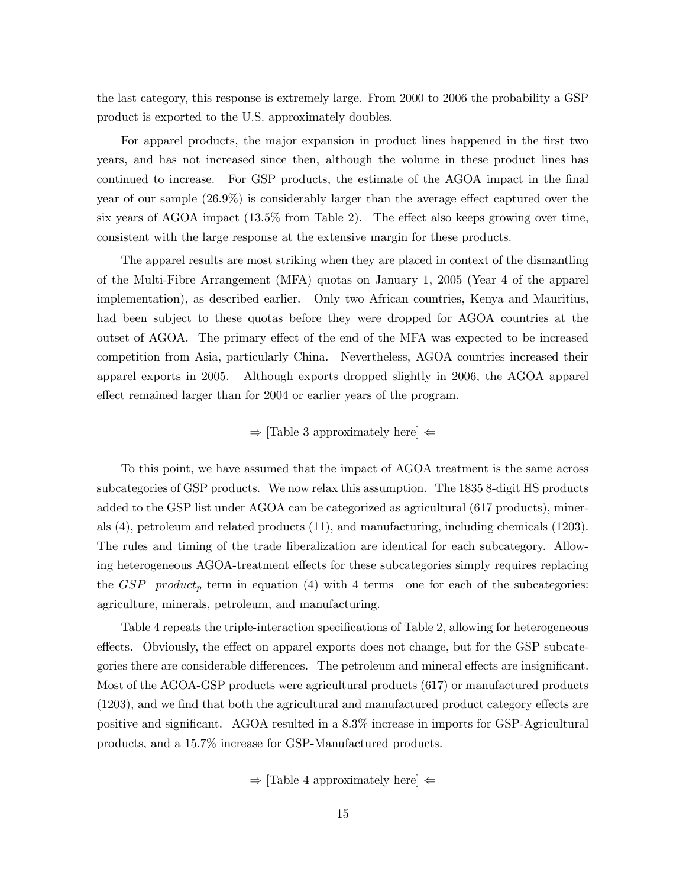the last category, this response is extremely large. From 2000 to 2006 the probability a GSP product is exported to the U.S. approximately doubles.

For apparel products, the major expansion in product lines happened in the first two years, and has not increased since then, although the volume in these product lines has continued to increase. For GSP products, the estimate of the AGOA impact in the final year of our sample (26.9%) is considerably larger than the average effect captured over the six years of AGOA impact (13.5% from Table 2). The effect also keeps growing over time, consistent with the large response at the extensive margin for these products.

The apparel results are most striking when they are placed in context of the dismantling of the Multi-Fibre Arrangement (MFA) quotas on January 1, 2005 (Year 4 of the apparel implementation), as described earlier. Only two African countries, Kenya and Mauritius, had been subject to these quotas before they were dropped for AGOA countries at the outset of AGOA. The primary effect of the end of the MFA was expected to be increased competition from Asia, particularly China. Nevertheless, AGOA countries increased their apparel exports in 2005. Although exports dropped slightly in 2006, the AGOA apparel effect remained larger than for 2004 or earlier years of the program.

### $\Rightarrow$  [Table 3 approximately here]  $\Leftarrow$

To this point, we have assumed that the impact of AGOA treatment is the same across subcategories of GSP products. We now relax this assumption. The 1835 8-digit HS products added to the GSP list under AGOA can be categorized as agricultural (617 products), minerals (4), petroleum and related products (11), and manufacturing, including chemicals (1203). The rules and timing of the trade liberalization are identical for each subcategory. Allowing heterogeneous AGOA-treatment effects for these subcategories simply requires replacing the  $GSP\_product_p$  term in equation (4) with 4 terms—one for each of the subcategories: agriculture, minerals, petroleum, and manufacturing.

Table 4 repeats the triple-interaction specifications of Table 2, allowing for heterogeneous effects. Obviously, the effect on apparel exports does not change, but for the GSP subcategories there are considerable differences. The petroleum and mineral effects are insignificant. Most of the AGOA-GSP products were agricultural products (617) or manufactured products (1203), and we find that both the agricultural and manufactured product category effects are positive and significant. AGOA resulted in a 8.3% increase in imports for GSP-Agricultural products, and a 15.7% increase for GSP-Manufactured products.

 $\Rightarrow$  [Table 4 approximately here]  $\Leftarrow$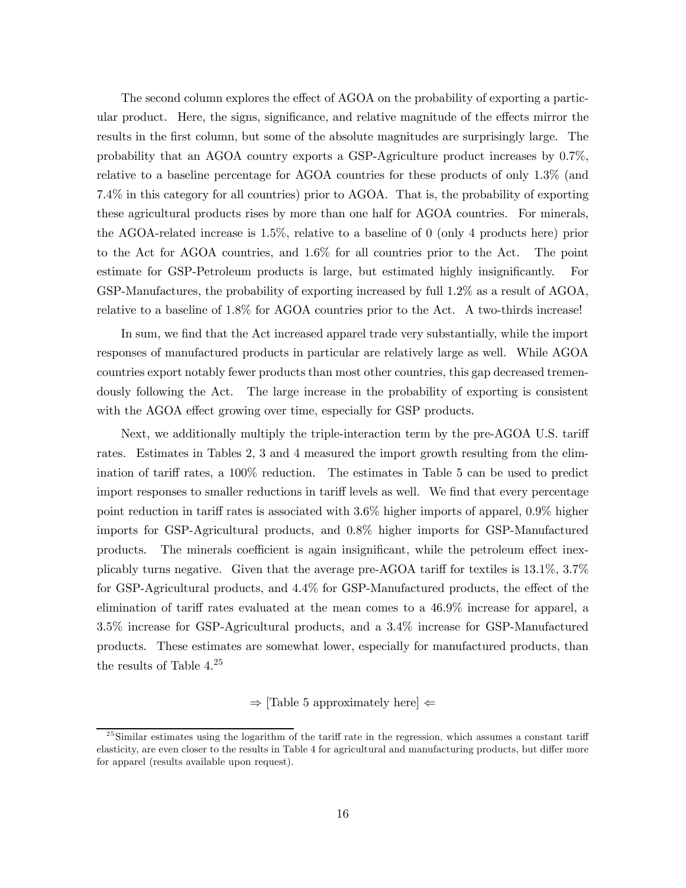The second column explores the effect of AGOA on the probability of exporting a particular product. Here, the signs, significance, and relative magnitude of the effects mirror the results in the first column, but some of the absolute magnitudes are surprisingly large. The probability that an AGOA country exports a GSP-Agriculture product increases by 0.7%, relative to a baseline percentage for AGOA countries for these products of only 1.3% (and 7.4% in this category for all countries) prior to AGOA. That is, the probability of exporting these agricultural products rises by more than one half for AGOA countries. For minerals, the AGOA-related increase is 1.5%, relative to a baseline of 0 (only 4 products here) prior to the Act for AGOA countries, and 1.6% for all countries prior to the Act. The point estimate for GSP-Petroleum products is large, but estimated highly insignificantly. For GSP-Manufactures, the probability of exporting increased by full 1.2% as a result of AGOA, relative to a baseline of 1.8% for AGOA countries prior to the Act. A two-thirds increase!

In sum, we find that the Act increased apparel trade very substantially, while the import responses of manufactured products in particular are relatively large as well. While AGOA countries export notably fewer products than most other countries, this gap decreased tremendously following the Act. The large increase in the probability of exporting is consistent with the AGOA effect growing over time, especially for GSP products.

Next, we additionally multiply the triple-interaction term by the pre-AGOA U.S. tariff rates. Estimates in Tables 2, 3 and 4 measured the import growth resulting from the elimination of tariff rates, a 100% reduction. The estimates in Table 5 can be used to predict import responses to smaller reductions in tariff levels as well. We find that every percentage point reduction in tariff rates is associated with 3.6% higher imports of apparel, 0.9% higher imports for GSP-Agricultural products, and 0.8% higher imports for GSP-Manufactured products. The minerals coefficient is again insignificant, while the petroleum effect inexplicably turns negative. Given that the average pre-AGOA tariff for textiles is 13.1%, 3.7% for GSP-Agricultural products, and 4.4% for GSP-Manufactured products, the effect of the elimination of tariff rates evaluated at the mean comes to a 46.9% increase for apparel, a 3.5% increase for GSP-Agricultural products, and a 3.4% increase for GSP-Manufactured products. These estimates are somewhat lower, especially for manufactured products, than the results of Table 4.25

 $\Rightarrow$  [Table 5 approximately here]  $\Leftarrow$ 

<sup>&</sup>lt;sup>25</sup>Similar estimates using the logarithm of the tariff rate in the regression, which assumes a constant tariff elasticity, are even closer to the results in Table 4 for agricultural and manufacturing products, but differ more for apparel (results available upon request).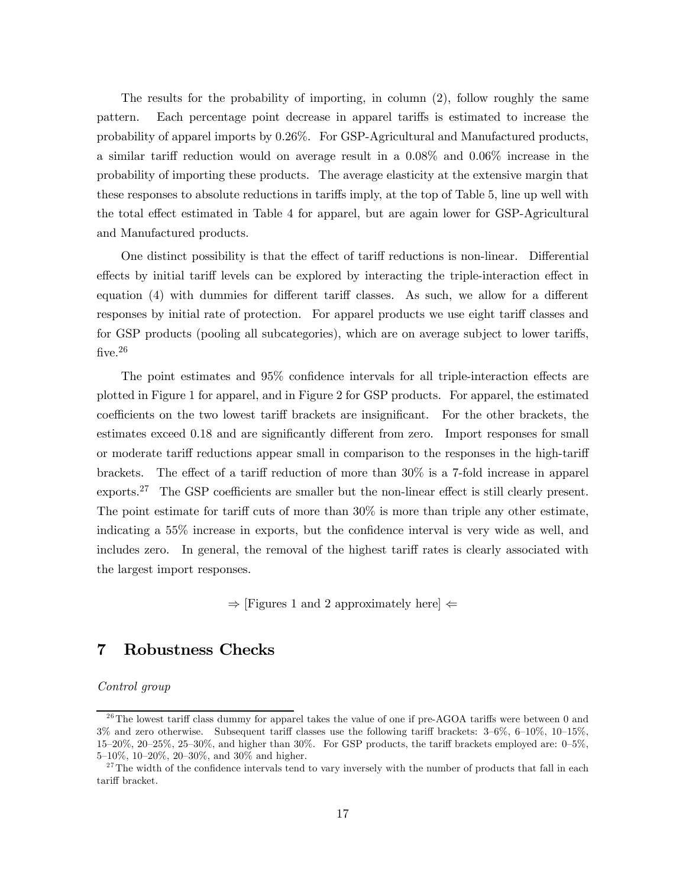The results for the probability of importing, in column (2), follow roughly the same pattern. Each percentage point decrease in apparel tariffs is estimated to increase the probability of apparel imports by 0.26%. For GSP-Agricultural and Manufactured products, a similar tariff reduction would on average result in a 0.08% and 0.06% increase in the probability of importing these products. The average elasticity at the extensive margin that these responses to absolute reductions in tariffs imply, at the top of Table 5, line up well with the total effect estimated in Table 4 for apparel, but are again lower for GSP-Agricultural and Manufactured products.

One distinct possibility is that the effect of tariff reductions is non-linear. Differential effects by initial tariff levels can be explored by interacting the triple-interaction effect in equation (4) with dummies for different tariff classes. As such, we allow for a different responses by initial rate of protection. For apparel products we use eight tariff classes and for GSP products (pooling all subcategories), which are on average subject to lower tariffs, five. $26$ 

The point estimates and 95% confidence intervals for all triple-interaction effects are plotted in Figure 1 for apparel, and in Figure 2 for GSP products. For apparel, the estimated coefficients on the two lowest tariff brackets are insignificant. For the other brackets, the estimates exceed 0.18 and are significantly different from zero. Import responses for small or moderate tariff reductions appear small in comparison to the responses in the high-tariff brackets. The effect of a tariff reduction of more than 30% is a 7-fold increase in apparel exports.<sup>27</sup> The GSP coefficients are smaller but the non-linear effect is still clearly present. The point estimate for tariff cuts of more than 30% is more than triple any other estimate, indicating a 55% increase in exports, but the confidence interval is very wide as well, and includes zero. In general, the removal of the highest tariff rates is clearly associated with the largest import responses.

 $\Rightarrow$  [Figures 1 and 2 approximately here]  $\Leftarrow$ 

## 7 Robustness Checks

Control group

<sup>&</sup>lt;sup>26</sup>The lowest tariff class dummy for apparel takes the value of one if pre-AGOA tariffs were between 0 and  $3\%$  and zero otherwise. Subsequent tariff classes use the following tariff brackets:  $3-6\%$ ,  $6-10\%$ ,  $10-15\%$ , 15—20%, 20—25%, 25—30%, and higher than 30%. For GSP products, the tariff brackets employed are: 0—5%, 5—10%, 10—20%, 20—30%, and 30% and higher.

 $^{27}$ The width of the confidence intervals tend to vary inversely with the number of products that fall in each tariff bracket.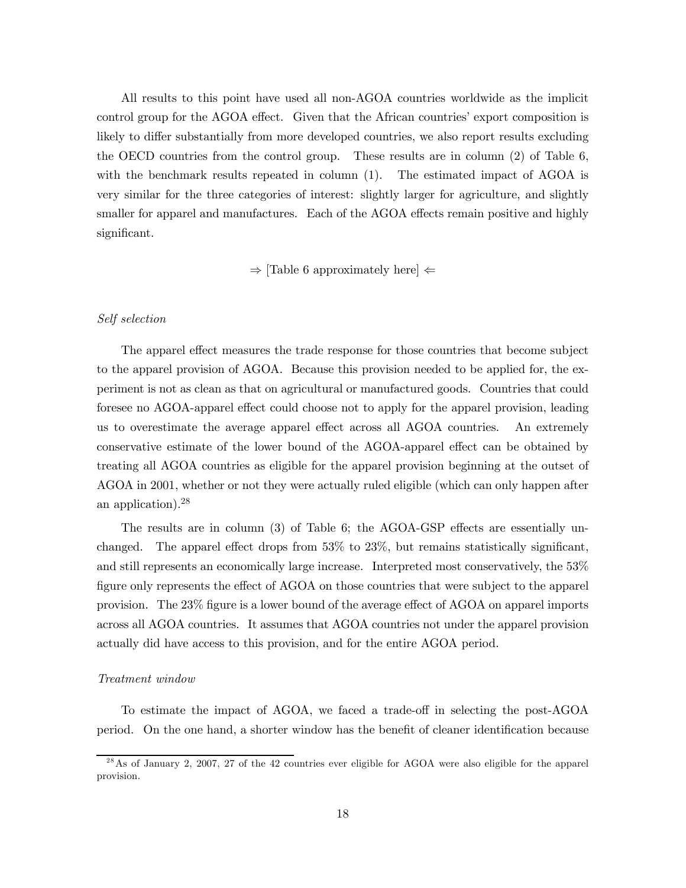All results to this point have used all non-AGOA countries worldwide as the implicit control group for the AGOA effect. Given that the African countries' export composition is likely to differ substantially from more developed countries, we also report results excluding the OECD countries from the control group. These results are in column (2) of Table 6, with the benchmark results repeated in column  $(1)$ . The estimated impact of AGOA is very similar for the three categories of interest: slightly larger for agriculture, and slightly smaller for apparel and manufactures. Each of the AGOA effects remain positive and highly significant.

 $\Rightarrow$  [Table 6 approximately here]  $\Leftarrow$ 

#### Self selection

The apparel effect measures the trade response for those countries that become subject to the apparel provision of AGOA. Because this provision needed to be applied for, the experiment is not as clean as that on agricultural or manufactured goods. Countries that could foresee no AGOA-apparel effect could choose not to apply for the apparel provision, leading us to overestimate the average apparel effect across all AGOA countries. An extremely conservative estimate of the lower bound of the AGOA-apparel effect can be obtained by treating all AGOA countries as eligible for the apparel provision beginning at the outset of AGOA in 2001, whether or not they were actually ruled eligible (which can only happen after an application).28

The results are in column (3) of Table 6; the AGOA-GSP effects are essentially unchanged. The apparel effect drops from 53% to 23%, but remains statistically significant, and still represents an economically large increase. Interpreted most conservatively, the 53% figure only represents the effect of AGOA on those countries that were subject to the apparel provision. The 23% figure is a lower bound of the average effect of AGOA on apparel imports across all AGOA countries. It assumes that AGOA countries not under the apparel provision actually did have access to this provision, and for the entire AGOA period.

#### Treatment window

To estimate the impact of AGOA, we faced a trade-off in selecting the post-AGOA period. On the one hand, a shorter window has the benefit of cleaner identification because

 $^{28}$ As of January 2, 2007, 27 of the 42 countries ever eligible for AGOA were also eligible for the apparel provision.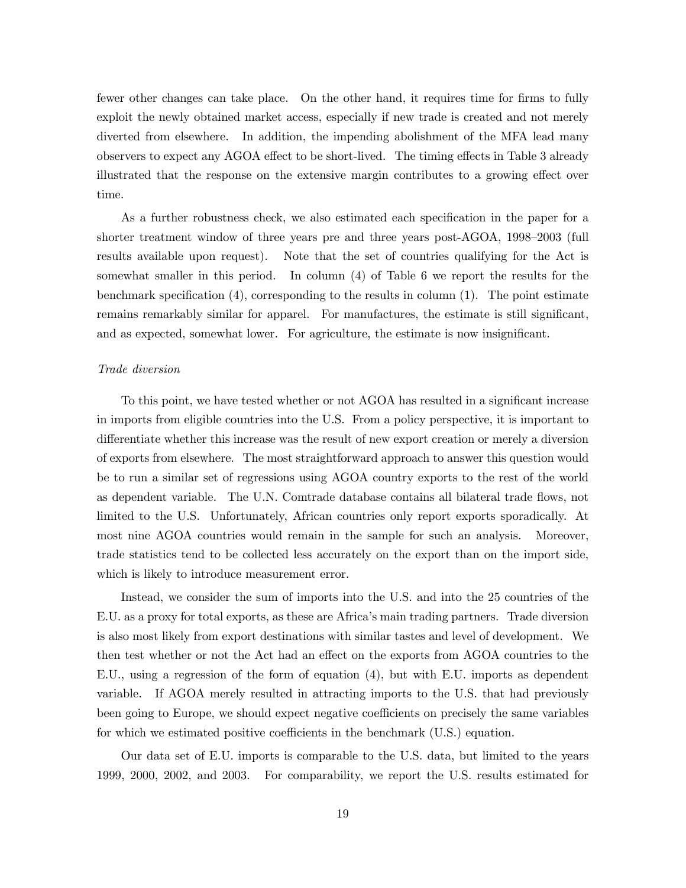fewer other changes can take place. On the other hand, it requires time for firms to fully exploit the newly obtained market access, especially if new trade is created and not merely diverted from elsewhere. In addition, the impending abolishment of the MFA lead many observers to expect any AGOA effect to be short-lived. The timing effects in Table 3 already illustrated that the response on the extensive margin contributes to a growing effect over time.

As a further robustness check, we also estimated each specification in the paper for a shorter treatment window of three years pre and three years post-AGOA, 1998—2003 (full results available upon request). Note that the set of countries qualifying for the Act is somewhat smaller in this period. In column (4) of Table 6 we report the results for the benchmark specification (4), corresponding to the results in column (1). The point estimate remains remarkably similar for apparel. For manufactures, the estimate is still significant, and as expected, somewhat lower. For agriculture, the estimate is now insignificant.

### Trade diversion

To this point, we have tested whether or not AGOA has resulted in a significant increase in imports from eligible countries into the U.S. From a policy perspective, it is important to differentiate whether this increase was the result of new export creation or merely a diversion of exports from elsewhere. The most straightforward approach to answer this question would be to run a similar set of regressions using AGOA country exports to the rest of the world as dependent variable. The U.N. Comtrade database contains all bilateral trade flows, not limited to the U.S. Unfortunately, African countries only report exports sporadically. At most nine AGOA countries would remain in the sample for such an analysis. Moreover, trade statistics tend to be collected less accurately on the export than on the import side, which is likely to introduce measurement error.

Instead, we consider the sum of imports into the U.S. and into the 25 countries of the E.U. as a proxy for total exports, as these are Africa's main trading partners. Trade diversion is also most likely from export destinations with similar tastes and level of development. We then test whether or not the Act had an effect on the exports from AGOA countries to the E.U., using a regression of the form of equation (4), but with E.U. imports as dependent variable. If AGOA merely resulted in attracting imports to the U.S. that had previously been going to Europe, we should expect negative coefficients on precisely the same variables for which we estimated positive coefficients in the benchmark (U.S.) equation.

Our data set of E.U. imports is comparable to the U.S. data, but limited to the years 1999, 2000, 2002, and 2003. For comparability, we report the U.S. results estimated for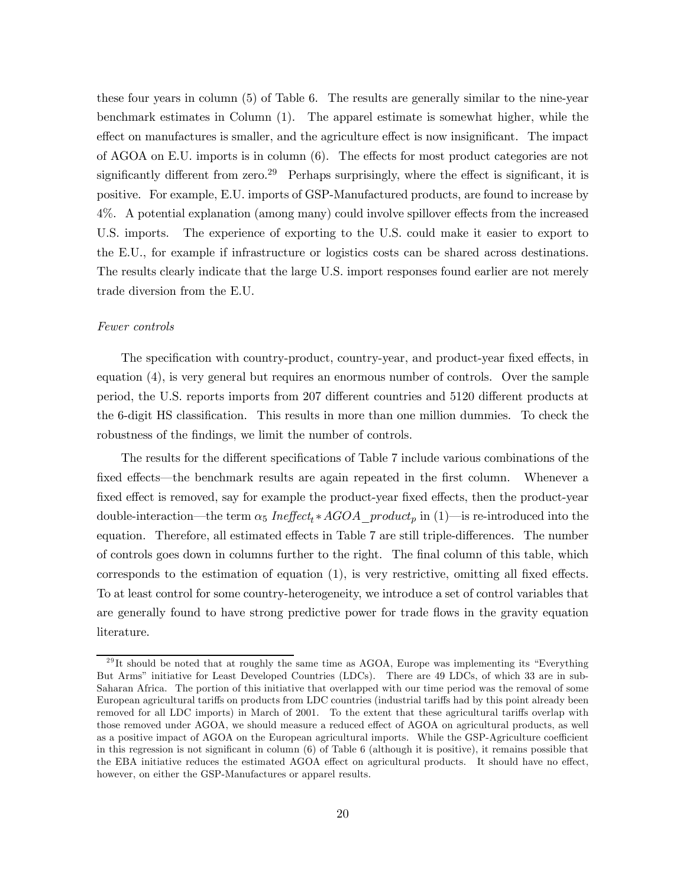these four years in column (5) of Table 6. The results are generally similar to the nine-year benchmark estimates in Column (1). The apparel estimate is somewhat higher, while the effect on manufactures is smaller, and the agriculture effect is now insignificant. The impact of AGOA on E.U. imports is in column (6). The effects for most product categories are not significantly different from zero.<sup>29</sup> Perhaps surprisingly, where the effect is significant, it is positive. For example, E.U. imports of GSP-Manufactured products, are found to increase by 4%. A potential explanation (among many) could involve spillover effects from the increased U.S. imports. The experience of exporting to the U.S. could make it easier to export to the E.U., for example if infrastructure or logistics costs can be shared across destinations. The results clearly indicate that the large U.S. import responses found earlier are not merely trade diversion from the E.U.

#### Fewer controls

The specification with country-product, country-year, and product-year fixed effects, in equation (4), is very general but requires an enormous number of controls. Over the sample period, the U.S. reports imports from 207 different countries and 5120 different products at the 6-digit HS classification. This results in more than one million dummies. To check the robustness of the findings, we limit the number of controls.

The results for the different specifications of Table 7 include various combinations of the fixed effects–the benchmark results are again repeated in the first column. Whenever a fixed effect is removed, say for example the product-year fixed effects, then the product-year double-interaction—the term  $\alpha_5$  Ineffect<sub>t</sub> \* AGOA\_product<sub>p</sub> in (1)—is re-introduced into the equation. Therefore, all estimated effects in Table 7 are still triple-differences. The number of controls goes down in columns further to the right. The final column of this table, which corresponds to the estimation of equation (1), is very restrictive, omitting all fixed effects. To at least control for some country-heterogeneity, we introduce a set of control variables that are generally found to have strong predictive power for trade flows in the gravity equation literature.

 $^{29}$ It should be noted that at roughly the same time as AGOA, Europe was implementing its "Everything" But Arms" initiative for Least Developed Countries (LDCs). There are 49 LDCs, of which 33 are in sub-Saharan Africa. The portion of this initiative that overlapped with our time period was the removal of some European agricultural tariffs on products from LDC countries (industrial tariffs had by this point already been removed for all LDC imports) in March of 2001. To the extent that these agricultural tariffs overlap with those removed under AGOA, we should measure a reduced effect of AGOA on agricultural products, as well as a positive impact of AGOA on the European agricultural imports. While the GSP-Agriculture coefficient in this regression is not significant in column (6) of Table 6 (although it is positive), it remains possible that the EBA initiative reduces the estimated AGOA effect on agricultural products. It should have no effect, however, on either the GSP-Manufactures or apparel results.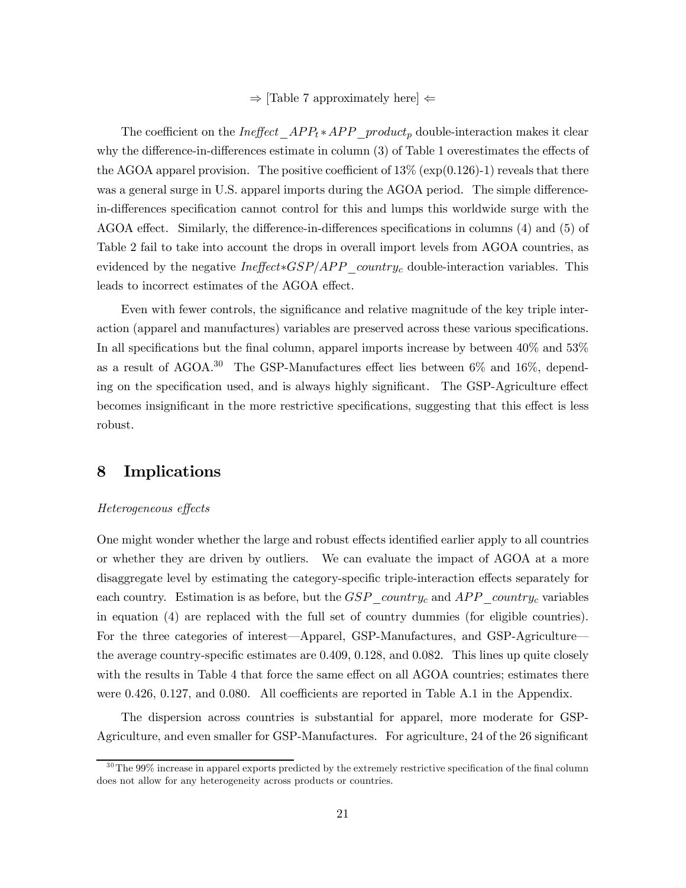### $\Rightarrow$  [Table 7 approximately here]  $\Leftarrow$

The coefficient on the  $Ineffect \_\text{APP}_t * APP\_product_p$  double-interaction makes it clear why the difference-in-differences estimate in column (3) of Table 1 overestimates the effects of the AGOA apparel provision. The positive coefficient of  $13\%$  (exp(0.126)-1) reveals that there was a general surge in U.S. apparel imports during the AGOA period. The simple differencein-differences specification cannot control for this and lumps this worldwide surge with the AGOA effect. Similarly, the difference-in-differences specifications in columns (4) and (5) of Table 2 fail to take into account the drops in overall import levels from AGOA countries, as evidenced by the negative  $In effect*GSP/APP_country_c$  double-interaction variables. This leads to incorrect estimates of the AGOA effect.

Even with fewer controls, the significance and relative magnitude of the key triple interaction (apparel and manufactures) variables are preserved across these various specifications. In all specifications but the final column, apparel imports increase by between 40% and 53% as a result of AGOA.<sup>30</sup> The GSP-Manufactures effect lies between 6% and 16%, depending on the specification used, and is always highly significant. The GSP-Agriculture effect becomes insignificant in the more restrictive specifications, suggesting that this effect is less robust.

## 8 Implications

#### Heterogeneous effects

One might wonder whether the large and robust effects identified earlier apply to all countries or whether they are driven by outliers. We can evaluate the impact of AGOA at a more disaggregate level by estimating the category-specific triple-interaction effects separately for each country. Estimation is as before, but the  $GSP\_country_c$  and  $APP\_country_c$  variables in equation (4) are replaced with the full set of country dummies (for eligible countries). For the three categories of interest–Apparel, GSP-Manufactures, and GSP-Agriculture– the average country-specific estimates are 0.409, 0.128, and 0.082. This lines up quite closely with the results in Table 4 that force the same effect on all AGOA countries; estimates there were 0.426, 0.127, and 0.080. All coefficients are reported in Table A.1 in the Appendix.

The dispersion across countries is substantial for apparel, more moderate for GSP-Agriculture, and even smaller for GSP-Manufactures. For agriculture, 24 of the 26 significant

 $30$ The 99% increase in apparel exports predicted by the extremely restrictive specification of the final column does not allow for any heterogeneity across products or countries.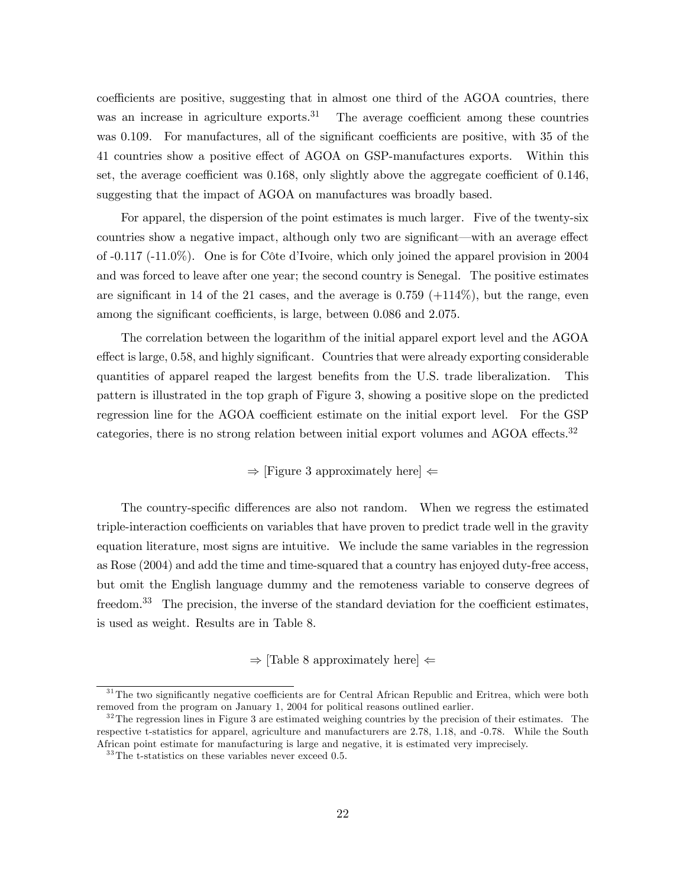coefficients are positive, suggesting that in almost one third of the AGOA countries, there was an increase in agriculture exports.<sup>31</sup> The average coefficient among these countries was 0.109. For manufactures, all of the significant coefficients are positive, with 35 of the 41 countries show a positive effect of AGOA on GSP-manufactures exports. Within this set, the average coefficient was 0.168, only slightly above the aggregate coefficient of 0.146, suggesting that the impact of AGOA on manufactures was broadly based.

For apparel, the dispersion of the point estimates is much larger. Five of the twenty-six countries show a negative impact, although only two are significant–with an average effect of -0.117 (-11.0%). One is for Côte d'Ivoire, which only joined the apparel provision in 2004 and was forced to leave after one year; the second country is Senegal. The positive estimates are significant in 14 of the 21 cases, and the average is  $0.759$  ( $+114\%$ ), but the range, even among the significant coefficients, is large, between 0.086 and 2.075.

The correlation between the logarithm of the initial apparel export level and the AGOA effect is large, 0.58, and highly significant. Countries that were already exporting considerable quantities of apparel reaped the largest benefits from the U.S. trade liberalization. This pattern is illustrated in the top graph of Figure 3, showing a positive slope on the predicted regression line for the AGOA coefficient estimate on the initial export level. For the GSP categories, there is no strong relation between initial export volumes and AGOA effects.32

### $\Rightarrow$  [Figure 3 approximately here]  $\Leftarrow$

The country-specific differences are also not random. When we regress the estimated triple-interaction coefficients on variables that have proven to predict trade well in the gravity equation literature, most signs are intuitive. We include the same variables in the regression as Rose (2004) and add the time and time-squared that a country has enjoyed duty-free access, but omit the English language dummy and the remoteness variable to conserve degrees of freedom.<sup>33</sup> The precision, the inverse of the standard deviation for the coefficient estimates, is used as weight. Results are in Table 8.

 $\Rightarrow$  [Table 8 approximately here]  $\Leftarrow$ 

<sup>&</sup>lt;sup>31</sup>The two significantly negative coefficients are for Central African Republic and Eritrea, which were both removed from the program on January 1, 2004 for political reasons outlined earlier.

 $3<sup>32</sup>$ The regression lines in Figure 3 are estimated weighing countries by the precision of their estimates. The respective t-statistics for apparel, agriculture and manufacturers are 2.78, 1.18, and -0.78. While the South African point estimate for manufacturing is large and negative, it is estimated very imprecisely.

 $33$ The t-statistics on these variables never exceed 0.5.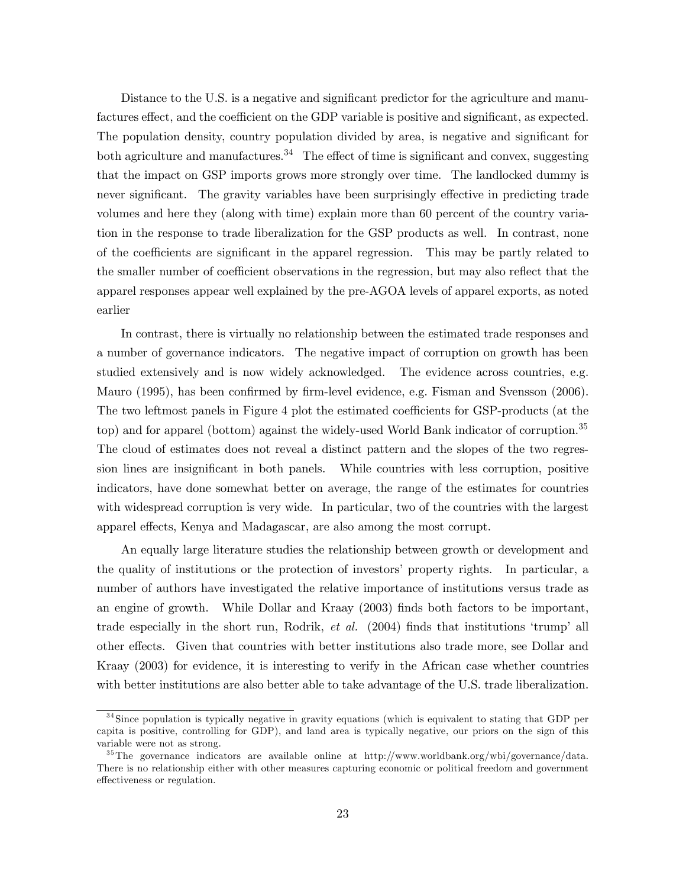Distance to the U.S. is a negative and significant predictor for the agriculture and manufactures effect, and the coefficient on the GDP variable is positive and significant, as expected. The population density, country population divided by area, is negative and significant for both agriculture and manufactures.<sup>34</sup> The effect of time is significant and convex, suggesting that the impact on GSP imports grows more strongly over time. The landlocked dummy is never significant. The gravity variables have been surprisingly effective in predicting trade volumes and here they (along with time) explain more than 60 percent of the country variation in the response to trade liberalization for the GSP products as well. In contrast, none of the coefficients are significant in the apparel regression. This may be partly related to the smaller number of coefficient observations in the regression, but may also reflect that the apparel responses appear well explained by the pre-AGOA levels of apparel exports, as noted earlier

In contrast, there is virtually no relationship between the estimated trade responses and a number of governance indicators. The negative impact of corruption on growth has been studied extensively and is now widely acknowledged. The evidence across countries, e.g. Mauro (1995), has been confirmed by firm-level evidence, e.g. Fisman and Svensson (2006). The two leftmost panels in Figure 4 plot the estimated coefficients for GSP-products (at the top) and for apparel (bottom) against the widely-used World Bank indicator of corruption.<sup>35</sup> The cloud of estimates does not reveal a distinct pattern and the slopes of the two regression lines are insignificant in both panels. While countries with less corruption, positive indicators, have done somewhat better on average, the range of the estimates for countries with widespread corruption is very wide. In particular, two of the countries with the largest apparel effects, Kenya and Madagascar, are also among the most corrupt.

An equally large literature studies the relationship between growth or development and the quality of institutions or the protection of investors' property rights. In particular, a number of authors have investigated the relative importance of institutions versus trade as an engine of growth. While Dollar and Kraay (2003) finds both factors to be important, trade especially in the short run, Rodrik, et al. (2004) finds that institutions 'trump' all other effects. Given that countries with better institutions also trade more, see Dollar and Kraay (2003) for evidence, it is interesting to verify in the African case whether countries with better institutions are also better able to take advantage of the U.S. trade liberalization.

 $34$ Since population is typically negative in gravity equations (which is equivalent to stating that GDP per capita is positive, controlling for GDP), and land area is typically negative, our priors on the sign of this variable were not as strong.

<sup>&</sup>lt;sup>35</sup>The governance indicators are available online at http://www.worldbank.org/wbi/governance/data. There is no relationship either with other measures capturing economic or political freedom and government effectiveness or regulation.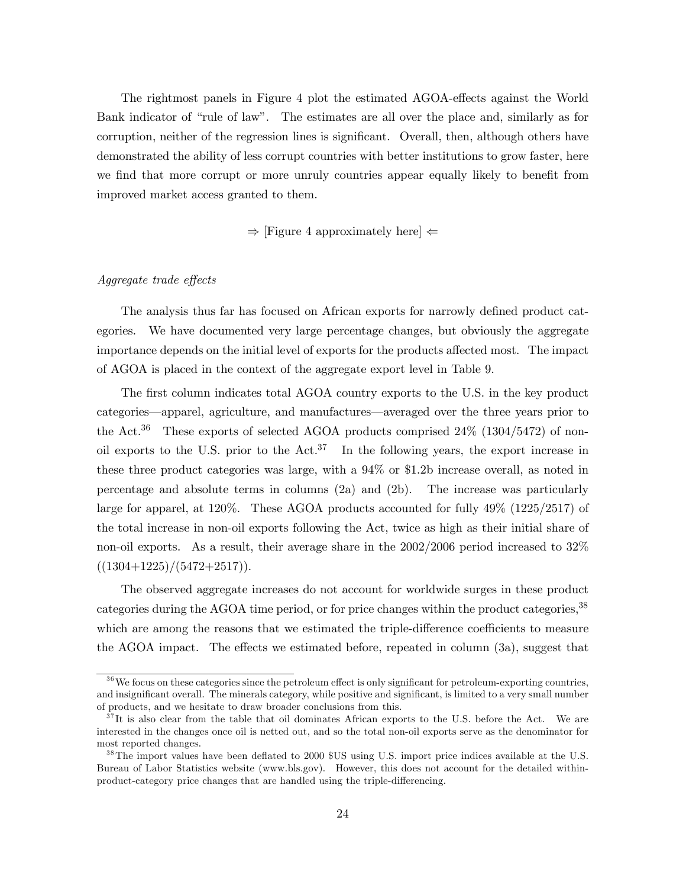The rightmost panels in Figure 4 plot the estimated AGOA-effects against the World Bank indicator of "rule of law". The estimates are all over the place and, similarly as for corruption, neither of the regression lines is significant. Overall, then, although others have demonstrated the ability of less corrupt countries with better institutions to grow faster, here we find that more corrupt or more unruly countries appear equally likely to benefit from improved market access granted to them.

 $\Rightarrow$  [Figure 4 approximately here]  $\Leftarrow$ 

### Aggregate trade effects

The analysis thus far has focused on African exports for narrowly defined product categories. We have documented very large percentage changes, but obviously the aggregate importance depends on the initial level of exports for the products affected most. The impact of AGOA is placed in the context of the aggregate export level in Table 9.

The first column indicates total AGOA country exports to the U.S. in the key product categories–apparel, agriculture, and manufactures–averaged over the three years prior to the Act.<sup>36</sup> These exports of selected AGOA products comprised  $24\%$  (1304/5472) of nonoil exports to the U.S. prior to the  $Act.^{37}$  In the following years, the export increase in these three product categories was large, with a 94% or \$1.2b increase overall, as noted in percentage and absolute terms in columns (2a) and (2b). The increase was particularly large for apparel, at 120%. These AGOA products accounted for fully 49% (1225/2517) of the total increase in non-oil exports following the Act, twice as high as their initial share of non-oil exports. As a result, their average share in the 2002/2006 period increased to 32%  $((1304+1225)/(5472+2517)).$ 

The observed aggregate increases do not account for worldwide surges in these product categories during the AGOA time period, or for price changes within the product categories,<sup>38</sup> which are among the reasons that we estimated the triple-difference coefficients to measure the AGOA impact. The effects we estimated before, repeated in column (3a), suggest that

 $36\,\text{We focus on these categories since the petroleum effect is only significant for petroleum-exporting countries.}$ and insignificant overall. The minerals category, while positive and significant, is limited to a very small number of products, and we hesitate to draw broader conclusions from this.

 $3<sup>7</sup>$ It is also clear from the table that oil dominates African exports to the U.S. before the Act. We are interested in the changes once oil is netted out, and so the total non-oil exports serve as the denominator for most reported changes.

 $38$ The import values have been deflated to 2000 \$US using U.S. import price indices available at the U.S. Bureau of Labor Statistics website (www.bls.gov). However, this does not account for the detailed withinproduct-category price changes that are handled using the triple-differencing.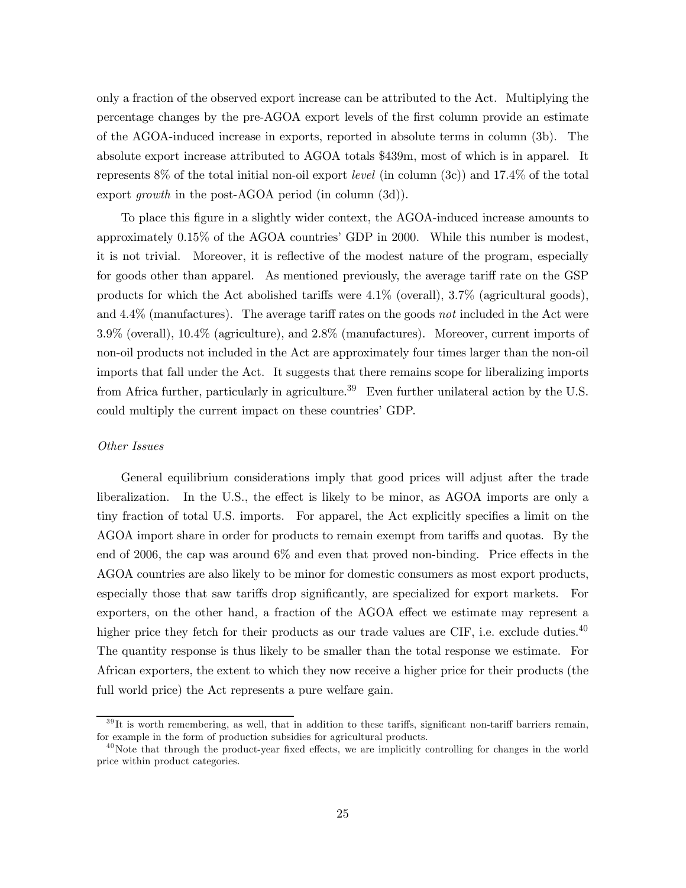only a fraction of the observed export increase can be attributed to the Act. Multiplying the percentage changes by the pre-AGOA export levels of the first column provide an estimate of the AGOA-induced increase in exports, reported in absolute terms in column (3b). The absolute export increase attributed to AGOA totals \$439m, most of which is in apparel. It represents 8% of the total initial non-oil export level (in column (3c)) and 17.4% of the total export *growth* in the post-AGOA period (in column (3d)).

To place this figure in a slightly wider context, the AGOA-induced increase amounts to approximately 0.15% of the AGOA countries' GDP in 2000. While this number is modest, it is not trivial. Moreover, it is reflective of the modest nature of the program, especially for goods other than apparel. As mentioned previously, the average tariff rate on the GSP products for which the Act abolished tariffs were 4.1% (overall), 3.7% (agricultural goods), and 4.4% (manufactures). The average tariff rates on the goods not included in the Act were 3.9% (overall), 10.4% (agriculture), and 2.8% (manufactures). Moreover, current imports of non-oil products not included in the Act are approximately four times larger than the non-oil imports that fall under the Act. It suggests that there remains scope for liberalizing imports from Africa further, particularly in agriculture.<sup>39</sup> Even further unilateral action by the U.S. could multiply the current impact on these countries' GDP.

#### Other Issues

General equilibrium considerations imply that good prices will adjust after the trade liberalization. In the U.S., the effect is likely to be minor, as AGOA imports are only a tiny fraction of total U.S. imports. For apparel, the Act explicitly specifies a limit on the AGOA import share in order for products to remain exempt from tariffs and quotas. By the end of 2006, the cap was around 6% and even that proved non-binding. Price effects in the AGOA countries are also likely to be minor for domestic consumers as most export products, especially those that saw tariffs drop significantly, are specialized for export markets. For exporters, on the other hand, a fraction of the AGOA effect we estimate may represent a higher price they fetch for their products as our trade values are CIF, i.e. exclude duties.<sup>40</sup> The quantity response is thus likely to be smaller than the total response we estimate. For African exporters, the extent to which they now receive a higher price for their products (the full world price) the Act represents a pure welfare gain.

 $39$ It is worth remembering, as well, that in addition to these tariffs, significant non-tariff barriers remain, for example in the form of production subsidies for agricultural products.

 $^{40}$ Note that through the product-year fixed effects, we are implicitly controlling for changes in the world price within product categories.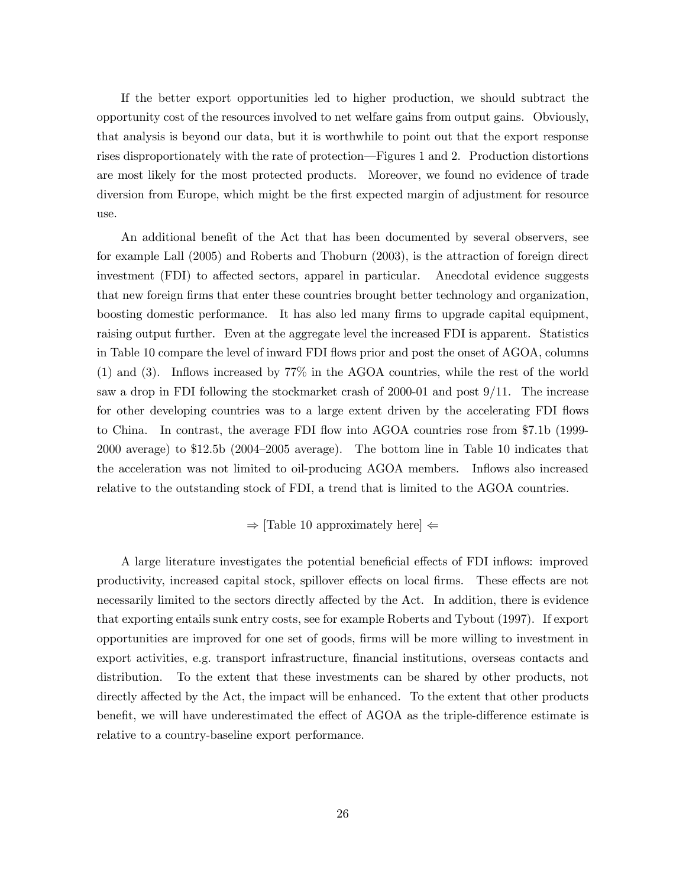If the better export opportunities led to higher production, we should subtract the opportunity cost of the resources involved to net welfare gains from output gains. Obviously, that analysis is beyond our data, but it is worthwhile to point out that the export response rises disproportionately with the rate of protection–Figures 1 and 2. Production distortions are most likely for the most protected products. Moreover, we found no evidence of trade diversion from Europe, which might be the first expected margin of adjustment for resource use.

An additional benefit of the Act that has been documented by several observers, see for example Lall (2005) and Roberts and Thoburn (2003), is the attraction of foreign direct investment (FDI) to affected sectors, apparel in particular. Anecdotal evidence suggests that new foreign firms that enter these countries brought better technology and organization, boosting domestic performance. It has also led many firms to upgrade capital equipment, raising output further. Even at the aggregate level the increased FDI is apparent. Statistics in Table 10 compare the level of inward FDI flows prior and post the onset of AGOA, columns (1) and (3). Inflows increased by 77% in the AGOA countries, while the rest of the world saw a drop in FDI following the stockmarket crash of 2000-01 and post 9/11. The increase for other developing countries was to a large extent driven by the accelerating FDI flows to China. In contrast, the average FDI flow into AGOA countries rose from \$7.1b (1999- 2000 average) to \$12.5b (2004—2005 average). The bottom line in Table 10 indicates that the acceleration was not limited to oil-producing AGOA members. Inflows also increased relative to the outstanding stock of FDI, a trend that is limited to the AGOA countries.

### $\Rightarrow$  [Table 10 approximately here]  $\Leftarrow$

A large literature investigates the potential beneficial effects of FDI inflows: improved productivity, increased capital stock, spillover effects on local firms. These effects are not necessarily limited to the sectors directly affected by the Act. In addition, there is evidence that exporting entails sunk entry costs, see for example Roberts and Tybout (1997). If export opportunities are improved for one set of goods, firms will be more willing to investment in export activities, e.g. transport infrastructure, financial institutions, overseas contacts and distribution. To the extent that these investments can be shared by other products, not directly affected by the Act, the impact will be enhanced. To the extent that other products benefit, we will have underestimated the effect of AGOA as the triple-difference estimate is relative to a country-baseline export performance.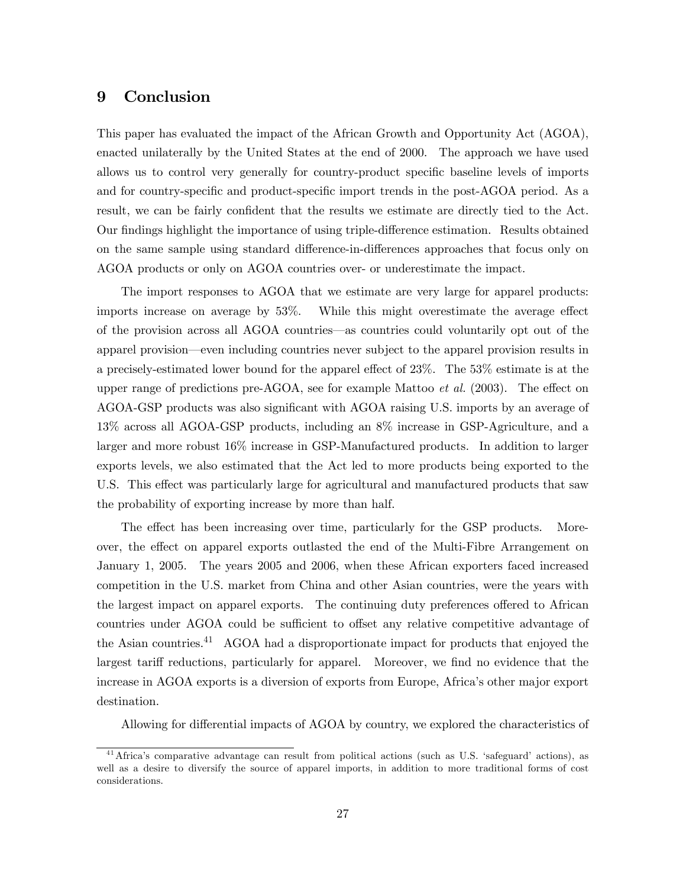### 9 Conclusion

This paper has evaluated the impact of the African Growth and Opportunity Act (AGOA), enacted unilaterally by the United States at the end of 2000. The approach we have used allows us to control very generally for country-product specific baseline levels of imports and for country-specific and product-specific import trends in the post-AGOA period. As a result, we can be fairly confident that the results we estimate are directly tied to the Act. Our findings highlight the importance of using triple-difference estimation. Results obtained on the same sample using standard difference-in-differences approaches that focus only on AGOA products or only on AGOA countries over- or underestimate the impact.

The import responses to AGOA that we estimate are very large for apparel products: imports increase on average by 53%. While this might overestimate the average effect of the provision across all AGOA countries–as countries could voluntarily opt out of the apparel provision–even including countries never subject to the apparel provision results in a precisely-estimated lower bound for the apparel effect of 23%. The 53% estimate is at the upper range of predictions pre-AGOA, see for example Mattoo *et al.* (2003). The effect on AGOA-GSP products was also significant with AGOA raising U.S. imports by an average of 13% across all AGOA-GSP products, including an 8% increase in GSP-Agriculture, and a larger and more robust 16% increase in GSP-Manufactured products. In addition to larger exports levels, we also estimated that the Act led to more products being exported to the U.S. This effect was particularly large for agricultural and manufactured products that saw the probability of exporting increase by more than half.

The effect has been increasing over time, particularly for the GSP products. Moreover, the effect on apparel exports outlasted the end of the Multi-Fibre Arrangement on January 1, 2005. The years 2005 and 2006, when these African exporters faced increased competition in the U.S. market from China and other Asian countries, were the years with the largest impact on apparel exports. The continuing duty preferences offered to African countries under AGOA could be sufficient to offset any relative competitive advantage of the Asian countries.41 AGOA had a disproportionate impact for products that enjoyed the largest tariff reductions, particularly for apparel. Moreover, we find no evidence that the increase in AGOA exports is a diversion of exports from Europe, Africa's other major export destination.

Allowing for differential impacts of AGOA by country, we explored the characteristics of

<sup>&</sup>lt;sup>41</sup> Africa's comparative advantage can result from political actions (such as U.S. 'safeguard' actions), as well as a desire to diversify the source of apparel imports, in addition to more traditional forms of cost considerations.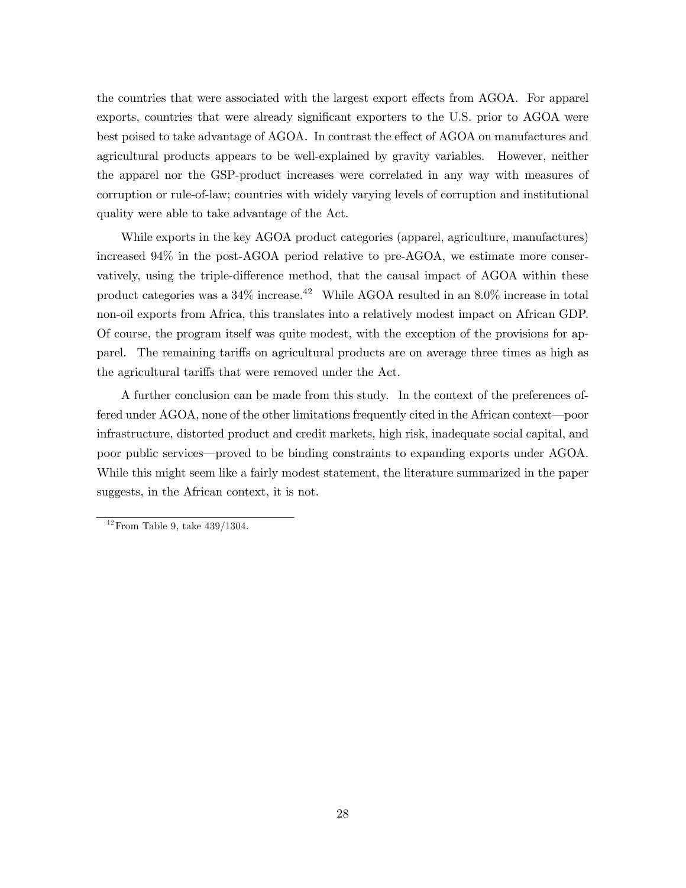the countries that were associated with the largest export effects from AGOA. For apparel exports, countries that were already significant exporters to the U.S. prior to AGOA were best poised to take advantage of AGOA. In contrast the effect of AGOA on manufactures and agricultural products appears to be well-explained by gravity variables. However, neither the apparel nor the GSP-product increases were correlated in any way with measures of corruption or rule-of-law; countries with widely varying levels of corruption and institutional quality were able to take advantage of the Act.

While exports in the key AGOA product categories (apparel, agriculture, manufactures) increased 94% in the post-AGOA period relative to pre-AGOA, we estimate more conservatively, using the triple-difference method, that the causal impact of AGOA within these product categories was a  $34\%$  increase.<sup>42</sup> While AGOA resulted in an  $8.0\%$  increase in total non-oil exports from Africa, this translates into a relatively modest impact on African GDP. Of course, the program itself was quite modest, with the exception of the provisions for apparel. The remaining tariffs on agricultural products are on average three times as high as the agricultural tariffs that were removed under the Act.

A further conclusion can be made from this study. In the context of the preferences offered under AGOA, none of the other limitations frequently cited in the African context–poor infrastructure, distorted product and credit markets, high risk, inadequate social capital, and poor public services–proved to be binding constraints to expanding exports under AGOA. While this might seem like a fairly modest statement, the literature summarized in the paper suggests, in the African context, it is not.

 $42$  From Table 9, take  $439/1304$ .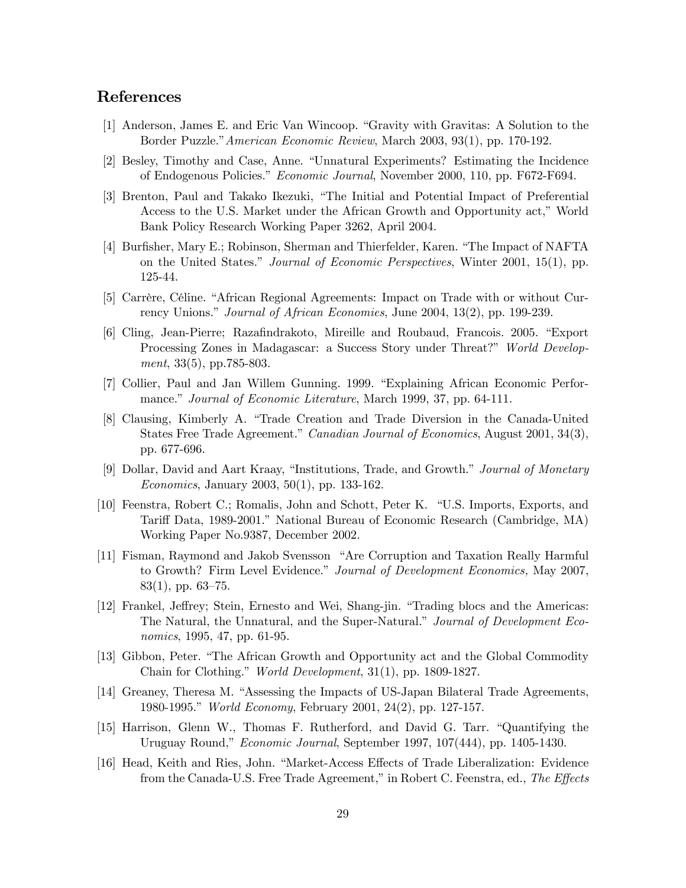### References

- [1] Anderson, James E. and Eric Van Wincoop. "Gravity with Gravitas: A Solution to the Border Puzzle."American Economic Review, March 2003, 93(1), pp. 170-192.
- [2] Besley, Timothy and Case, Anne. "Unnatural Experiments? Estimating the Incidence of Endogenous Policies." Economic Journal, November 2000, 110, pp. F672-F694.
- [3] Brenton, Paul and Takako Ikezuki, "The Initial and Potential Impact of Preferential Access to the U.S. Market under the African Growth and Opportunity act," World Bank Policy Research Working Paper 3262, April 2004.
- [4] Burfisher, Mary E.; Robinson, Sherman and Thierfelder, Karen. "The Impact of NAFTA on the United States." Journal of Economic Perspectives, Winter 2001, 15(1), pp. 125-44.
- [5] Carrère, Céline. "African Regional Agreements: Impact on Trade with or without Currency Unions." Journal of African Economies, June 2004, 13(2), pp. 199-239.
- [6] Cling, Jean-Pierre; Razafindrakoto, Mireille and Roubaud, Francois. 2005. "Export Processing Zones in Madagascar: a Success Story under Threat?" World Development, 33(5), pp.785-803.
- [7] Collier, Paul and Jan Willem Gunning. 1999. "Explaining African Economic Performance." Journal of Economic Literature, March 1999, 37, pp. 64-111.
- [8] Clausing, Kimberly A. "Trade Creation and Trade Diversion in the Canada-United States Free Trade Agreement." Canadian Journal of Economics, August 2001, 34(3), pp. 677-696.
- [9] Dollar, David and Aart Kraay, "Institutions, Trade, and Growth." Journal of Monetary Economics, January 2003, 50(1), pp. 133-162.
- [10] Feenstra, Robert C.; Romalis, John and Schott, Peter K. "U.S. Imports, Exports, and Tariff Data, 1989-2001." National Bureau of Economic Research (Cambridge, MA) Working Paper No.9387, December 2002.
- [11] Fisman, Raymond and Jakob Svensson "Are Corruption and Taxation Really Harmful to Growth? Firm Level Evidence." Journal of Development Economics, May 2007, 83(1), pp. 63—75.
- [12] Frankel, Jeffrey; Stein, Ernesto and Wei, Shang-jin. "Trading blocs and the Americas: The Natural, the Unnatural, and the Super-Natural." Journal of Development Economics, 1995, 47, pp. 61-95.
- [13] Gibbon, Peter. "The African Growth and Opportunity act and the Global Commodity Chain for Clothing." World Development, 31(1), pp. 1809-1827.
- [14] Greaney, Theresa M. "Assessing the Impacts of US-Japan Bilateral Trade Agreements, 1980-1995." World Economy, February 2001, 24(2), pp. 127-157.
- [15] Harrison, Glenn W., Thomas F. Rutherford, and David G. Tarr. "Quantifying the Uruguay Round," Economic Journal, September 1997, 107(444), pp. 1405-1430.
- [16] Head, Keith and Ries, John. "Market-Access Effects of Trade Liberalization: Evidence from the Canada-U.S. Free Trade Agreement," in Robert C. Feenstra, ed., The Effects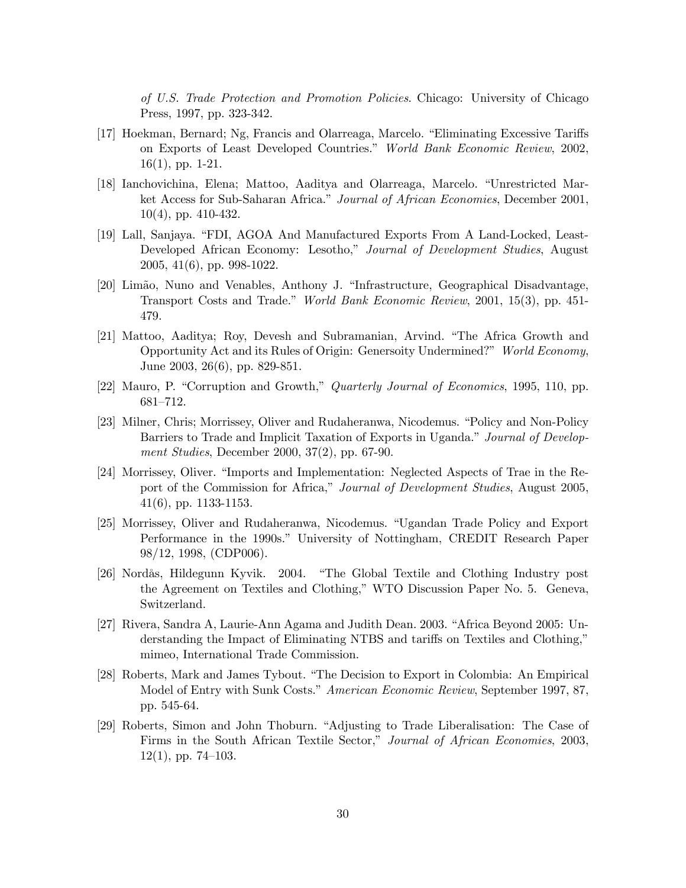of U.S. Trade Protection and Promotion Policies. Chicago: University of Chicago Press, 1997, pp. 323-342.

- [17] Hoekman, Bernard; Ng, Francis and Olarreaga, Marcelo. "Eliminating Excessive Tariffs on Exports of Least Developed Countries." World Bank Economic Review, 2002, 16(1), pp. 1-21.
- [18] Ianchovichina, Elena; Mattoo, Aaditya and Olarreaga, Marcelo. "Unrestricted Market Access for Sub-Saharan Africa." Journal of African Economies, December 2001, 10(4), pp. 410-432.
- [19] Lall, Sanjaya. "FDI, AGOA And Manufactured Exports From A Land-Locked, Least-Developed African Economy: Lesotho," Journal of Development Studies, August 2005, 41(6), pp. 998-1022.
- [20] Limão, Nuno and Venables, Anthony J. "Infrastructure, Geographical Disadvantage, Transport Costs and Trade." World Bank Economic Review, 2001, 15(3), pp. 451- 479.
- [21] Mattoo, Aaditya; Roy, Devesh and Subramanian, Arvind. "The Africa Growth and Opportunity Act and its Rules of Origin: Genersoity Undermined?" World Economy, June 2003, 26(6), pp. 829-851.
- [22] Mauro, P. "Corruption and Growth," Quarterly Journal of Economics, 1995, 110, pp. 681—712.
- [23] Milner, Chris; Morrissey, Oliver and Rudaheranwa, Nicodemus. "Policy and Non-Policy Barriers to Trade and Implicit Taxation of Exports in Uganda." Journal of Development Studies, December 2000, 37(2), pp. 67-90.
- [24] Morrissey, Oliver. "Imports and Implementation: Neglected Aspects of Trae in the Report of the Commission for Africa," Journal of Development Studies, August 2005, 41(6), pp. 1133-1153.
- [25] Morrissey, Oliver and Rudaheranwa, Nicodemus. "Ugandan Trade Policy and Export Performance in the 1990s." University of Nottingham, CREDIT Research Paper 98/12, 1998, (CDP006).
- [26] Nordås, Hildegunn Kyvik. 2004. "The Global Textile and Clothing Industry post the Agreement on Textiles and Clothing," WTO Discussion Paper No. 5. Geneva, Switzerland.
- [27] Rivera, Sandra A, Laurie-Ann Agama and Judith Dean. 2003. "Africa Beyond 2005: Understanding the Impact of Eliminating NTBS and tariffs on Textiles and Clothing," mimeo, International Trade Commission.
- [28] Roberts, Mark and James Tybout. "The Decision to Export in Colombia: An Empirical Model of Entry with Sunk Costs." American Economic Review, September 1997, 87, pp. 545-64.
- [29] Roberts, Simon and John Thoburn. "Adjusting to Trade Liberalisation: The Case of Firms in the South African Textile Sector," Journal of African Economies, 2003,  $12(1)$ , pp. 74–103.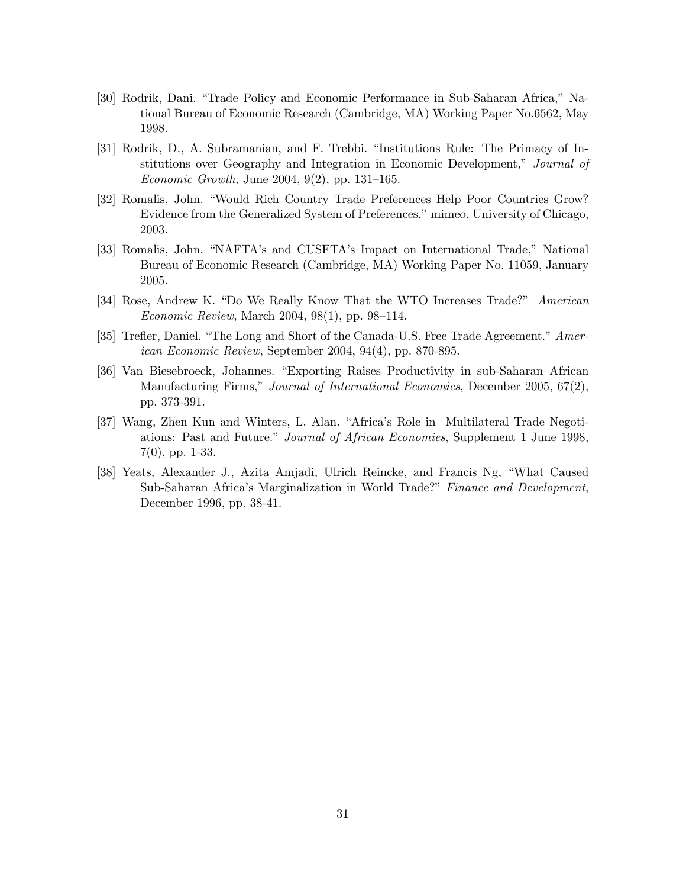- [30] Rodrik, Dani. "Trade Policy and Economic Performance in Sub-Saharan Africa," National Bureau of Economic Research (Cambridge, MA) Working Paper No.6562, May 1998.
- [31] Rodrik, D., A. Subramanian, and F. Trebbi. "Institutions Rule: The Primacy of Institutions over Geography and Integration in Economic Development," Journal of Economic Growth, June 2004, 9(2), pp. 131—165.
- [32] Romalis, John. "Would Rich Country Trade Preferences Help Poor Countries Grow? Evidence from the Generalized System of Preferences," mimeo, University of Chicago, 2003.
- [33] Romalis, John. "NAFTA's and CUSFTA's Impact on International Trade," National Bureau of Economic Research (Cambridge, MA) Working Paper No. 11059, January 2005.
- [34] Rose, Andrew K. "Do We Really Know That the WTO Increases Trade?" American Economic Review, March 2004, 98(1), pp. 98—114.
- [35] Trefler, Daniel. "The Long and Short of the Canada-U.S. Free Trade Agreement." American Economic Review, September 2004, 94(4), pp. 870-895.
- [36] Van Biesebroeck, Johannes. "Exporting Raises Productivity in sub-Saharan African Manufacturing Firms," Journal of International Economics, December 2005, 67(2), pp. 373-391.
- [37] Wang, Zhen Kun and Winters, L. Alan. "Africa's Role in Multilateral Trade Negotiations: Past and Future." Journal of African Economies, Supplement 1 June 1998, 7(0), pp. 1-33.
- [38] Yeats, Alexander J., Azita Amjadi, Ulrich Reincke, and Francis Ng, "What Caused Sub-Saharan Africa's Marginalization in World Trade?" Finance and Development, December 1996, pp. 38-41.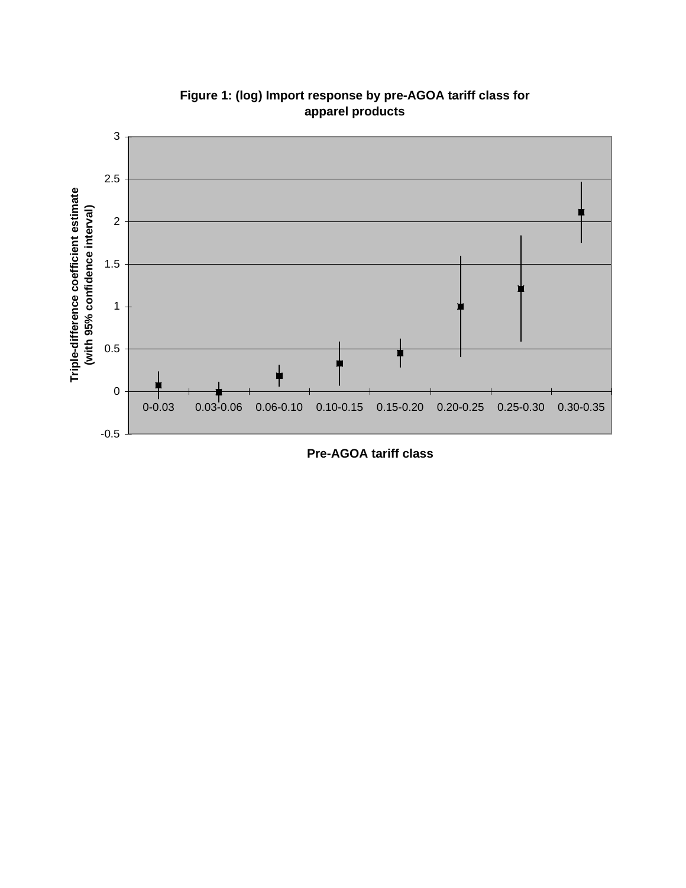

**Figure 1: (log) Import response by pre-AGOA tariff class for apparel products**

**Pre-AGOA tariff class**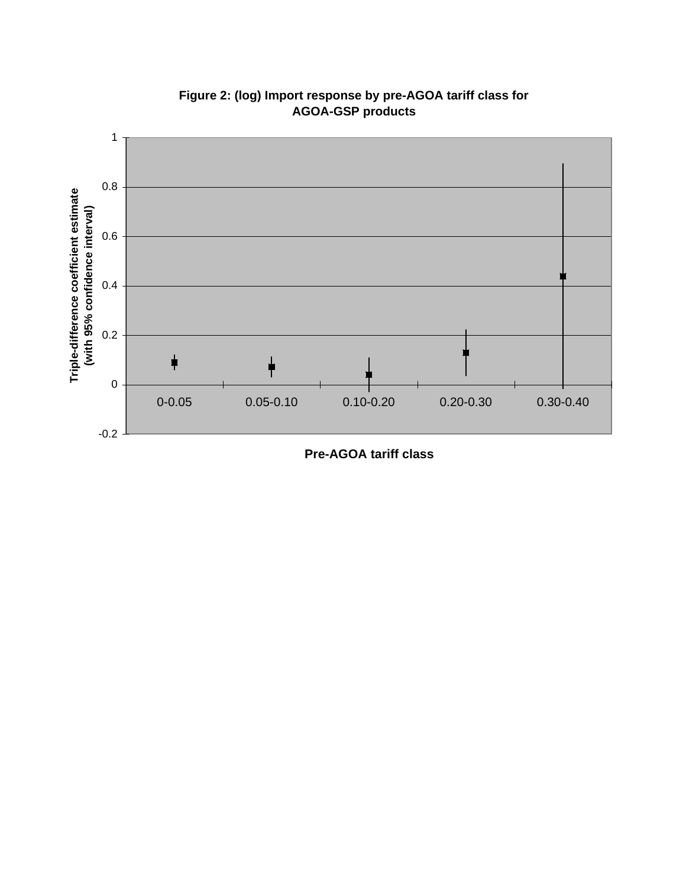

**Figure 2: (log) Import response by pre-AGOA tariff class for AGOA-GSP products**

**Pre-AGOA tariff class**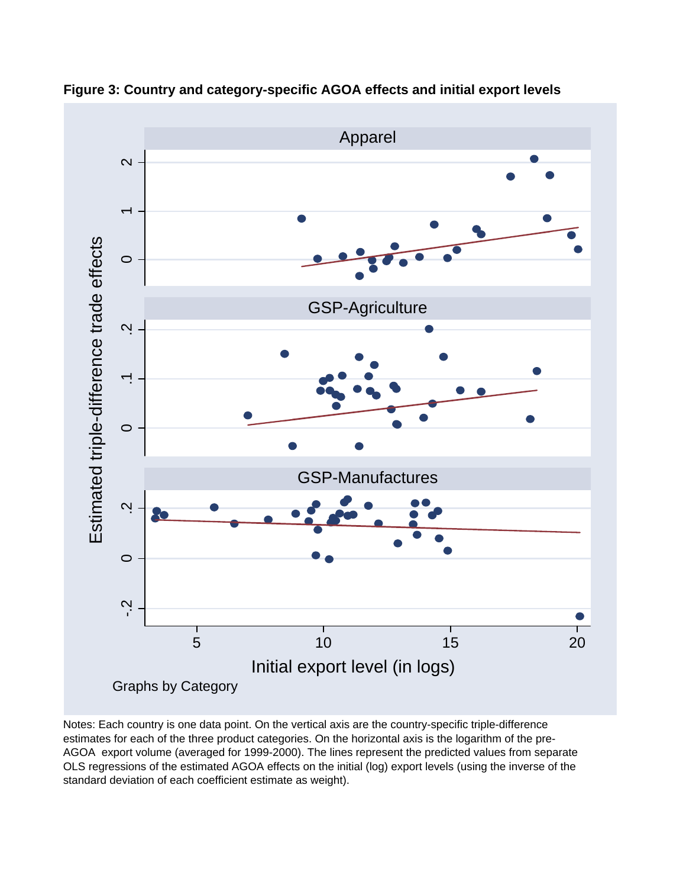

**Figure 3: Country and category-specific AGOA effects and initial export levels**

Notes: Each country is one data point. On the vertical axis are the country-specific triple-difference estimates for each of the three product categories. On the horizontal axis is the logarithm of the pre-AGOA export volume (averaged for 1999-2000). The lines represent the predicted values from separate OLS regressions of the estimated AGOA effects on the initial (log) export levels (using the inverse of the standard deviation of each coefficient estimate as weight).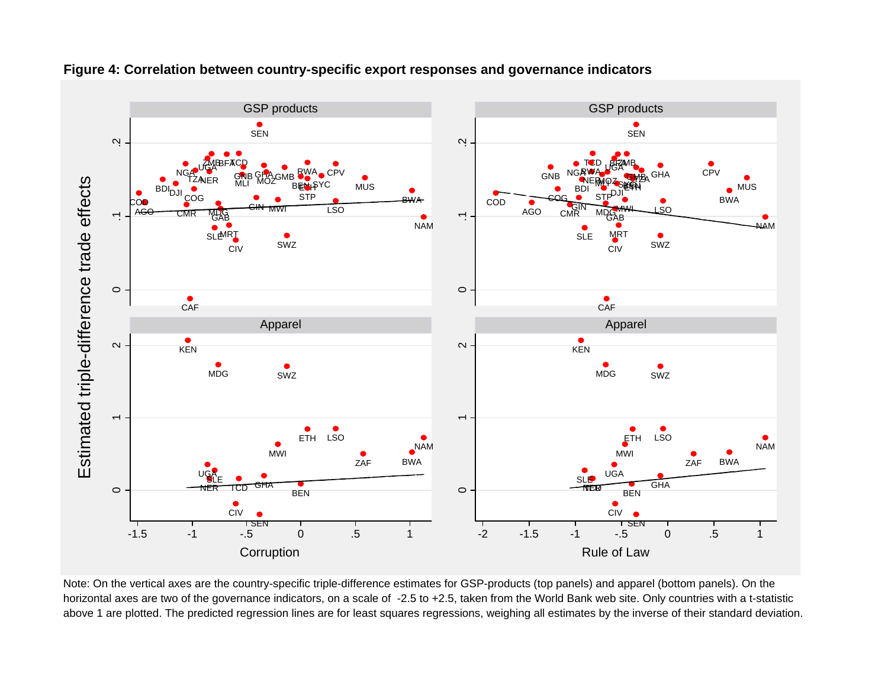

**Figure 4: Correlation between country-specific export responses and governance indicators**

Note: On the vertical axes are the country-specific triple-difference estimates for GSP-products (top panels) and apparel (bottom panels). On the horizontal axes are two of the governance indicators, on a scale of -2.5 to +2.5, taken from the World Bank web site. Only countries with a t-statistic above 1 are plotted. The predicted regression lines are for least squares regressions, weighing all estimates by the inverse of their standard deviation.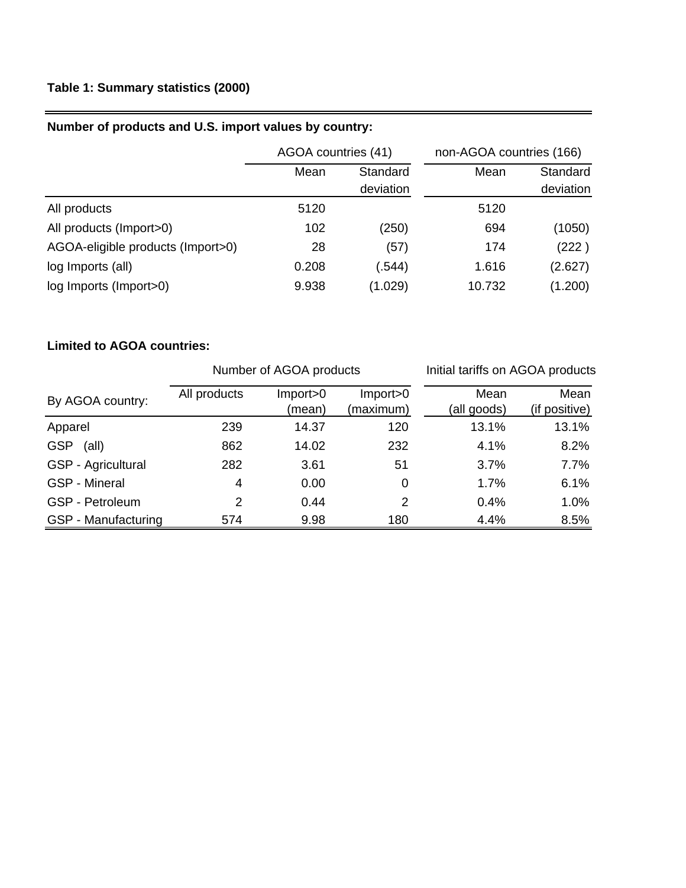# **Table 1: Summary statistics (2000)**

# **Number of products and U.S. import values by country:**

|                                   | AGOA countries (41) |           | non-AGOA countries (166) |           |
|-----------------------------------|---------------------|-----------|--------------------------|-----------|
|                                   | Mean<br>Standard    |           | Mean                     | Standard  |
|                                   |                     | deviation |                          | deviation |
| All products                      | 5120                |           | 5120                     |           |
| All products (Import>0)           | 102                 | (250)     | 694                      | (1050)    |
| AGOA-eligible products (Import>0) | 28                  | (57)      | 174                      | (222)     |
| log Imports (all)                 | 0.208               | (.544)    | 1.616                    | (2.627)   |
| log Imports (Import>0)            | 9.938               | (1.029)   | 10.732                   | (1.200)   |

L,

## **Limited to AGOA countries:**

|                              |              | Number of AGOA products | Initial tariffs on AGOA products |                     |                       |
|------------------------------|--------------|-------------------------|----------------------------------|---------------------|-----------------------|
| By AGOA country:             | All products | Import>0<br>(mean)      | Import>0<br>(maximum)            | Mean<br>(all goods) | Mean<br>(if positive) |
| Apparel                      | 239          | 14.37                   | 120                              | 13.1%               | 13.1%                 |
| <b>GSP</b><br>$(\text{all})$ | 862          | 14.02                   | 232                              | 4.1%                | 8.2%                  |
| <b>GSP</b> - Agricultural    | 282          | 3.61                    | 51                               | 3.7%                | 7.7%                  |
| <b>GSP</b> - Mineral         | 4            | 0.00                    | 0                                | 1.7%                | 6.1%                  |
| <b>GSP - Petroleum</b>       | 2            | 0.44                    | 2                                | 0.4%                | 1.0%                  |
| GSP - Manufacturing          | 574          | 9.98                    | 180                              | 4.4%                | 8.5%                  |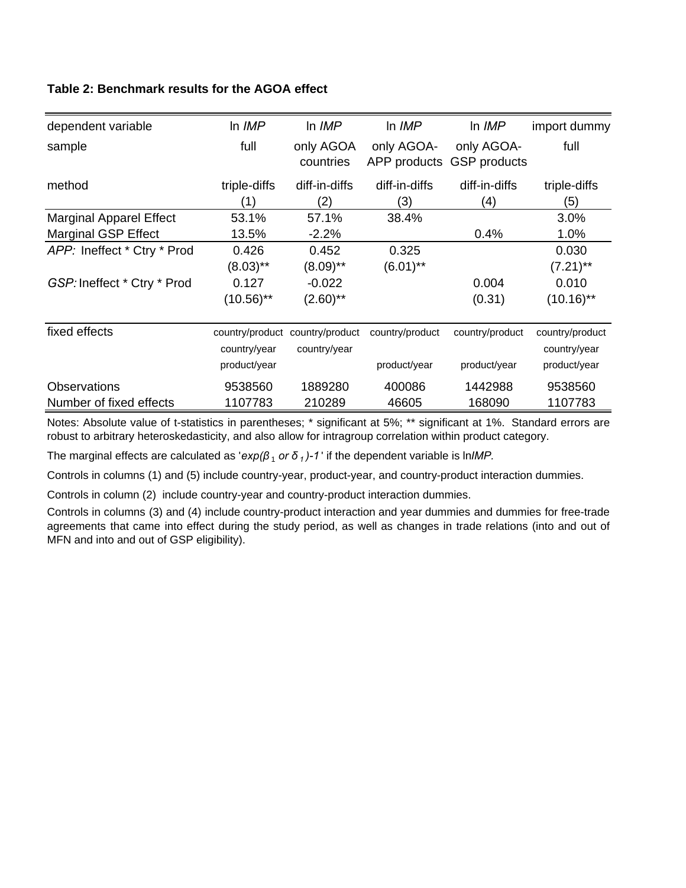## **Table 2: Benchmark results for the AGOA effect**

| dependent variable             | In IMP                          | In IMP                          | In IMP                     | In $IMP$                          | import dummy                    |
|--------------------------------|---------------------------------|---------------------------------|----------------------------|-----------------------------------|---------------------------------|
| sample                         | full                            | only AGOA<br>countries          | only AGOA-<br>APP products | only AGOA-<br><b>GSP</b> products | full                            |
| method                         | triple-diffs<br>(1)             | diff-in-diffs<br>(2)            | diff-in-diffs<br>(3)       | diff-in-diffs<br>(4)              | triple-diffs<br>(5)             |
| <b>Marginal Apparel Effect</b> | 53.1%                           | 57.1%                           | 38.4%                      |                                   | 3.0%                            |
| <b>Marginal GSP Effect</b>     | 13.5%                           | $-2.2%$                         |                            | 0.4%                              | 1.0%                            |
| APP: Ineffect * Ctry * Prod    | 0.426                           | 0.452                           | 0.325                      |                                   | 0.030                           |
|                                | $(8.03)$ **                     | $(8.09)$ **                     | $(6.01)$ **                |                                   | $(7.21)$ **                     |
| GSP: Ineffect * Ctry * Prod    | 0.127                           | $-0.022$                        |                            | 0.004                             | 0.010                           |
|                                | $(10.56)$ **                    | $(2.60)$ **                     |                            | (0.31)                            | $(10.16)$ <sup>**</sup>         |
| fixed effects                  | country/product<br>country/year | country/product<br>country/year | country/product            | country/product                   | country/product<br>country/year |
|                                | product/year                    |                                 | product/year               | product/year                      | product/year                    |
| Observations                   | 9538560                         | 1889280                         | 400086                     | 1442988                           | 9538560                         |
| Number of fixed effects        | 1107783                         | 210289                          | 46605                      | 168090                            | 1107783                         |

Notes: Absolute value of t-statistics in parentheses; \* significant at 5%; \*\* significant at 1%. Standard errors are robust to arbitrary heteroskedasticity, and also allow for intragroup correlation within product category.

The marginal effects are calculated as ' $exp(\beta_1 \text{ or } \delta_1)$ -1' if the dependent variable is ln/MP.

Controls in columns (1) and (5) include country-year, product-year, and country-product interaction dummies.

Controls in column (2) include country-year and country-product interaction dummies.

Controls in columns (3) and (4) include country-product interaction and year dummies and dummies for free-trade agreements that came into effect during the study period, as well as changes in trade relations (into and out of MFN and into and out of GSP eligibility).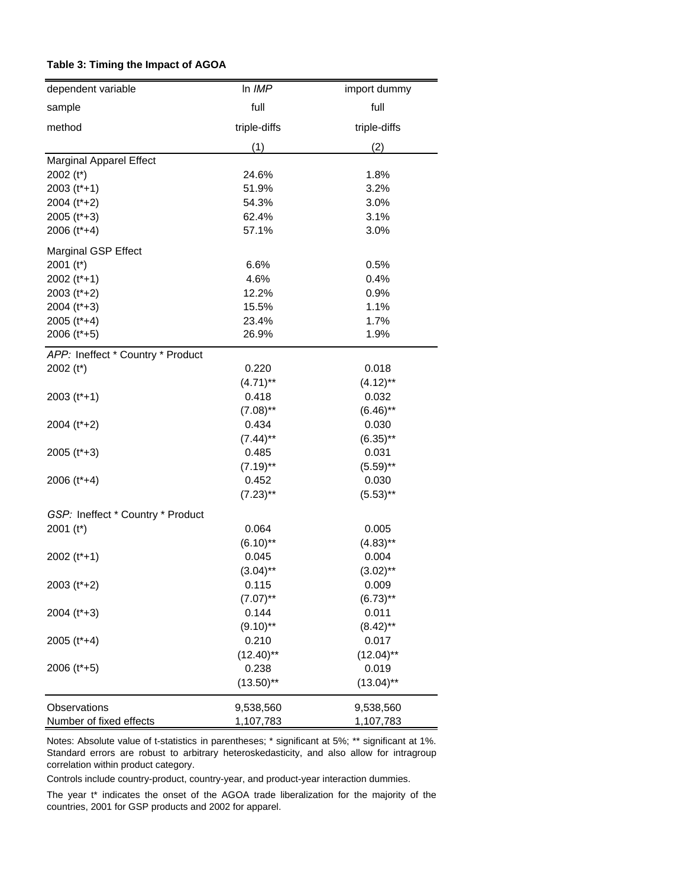| dependent variable                | In IMP               | import dummy         |
|-----------------------------------|----------------------|----------------------|
| sample                            | full                 | full                 |
|                                   |                      |                      |
| method                            | triple-diffs         | triple-diffs         |
|                                   | (1)                  | (2)                  |
| <b>Marginal Apparel Effect</b>    |                      |                      |
| 2002 (t*)                         | 24.6%                | 1.8%                 |
| $2003(t^*+1)$                     | 51.9%                | 3.2%                 |
| 2004 (t*+2)                       | 54.3%                | 3.0%                 |
| $2005$ ( $t$ <sup>*</sup> +3)     | 62.4%                | 3.1%                 |
| 2006 (t*+4)                       | 57.1%                | 3.0%                 |
| <b>Marginal GSP Effect</b>        |                      |                      |
| 2001 $(t^*)$                      | 6.6%                 | 0.5%                 |
| $2002(t^*+1)$                     | 4.6%                 | 0.4%                 |
| $2003(t^*+2)$                     | 12.2%                | 0.9%                 |
| 2004 (t*+3)                       | 15.5%                | 1.1%                 |
| $2005$ ( $t^*+4$ )                | 23.4%                | 1.7%                 |
| 2006 (t*+5)                       | 26.9%                | 1.9%                 |
| APP: Ineffect * Country * Product |                      |                      |
| 2002 $(t^*)$                      | 0.220                | 0.018                |
|                                   | $(4.71)$ **          | $(4.12)$ **          |
| $2003(t^*+1)$                     | 0.418                | 0.032                |
|                                   | $(7.08)$ **          | $(6.46)$ **          |
| 2004 (t*+2)                       | 0.434                | 0.030                |
|                                   | $(7.44)$ **          | $(6.35)$ **          |
| $2005$ ( $t$ <sup>*</sup> +3)     | 0.485                | 0.031                |
|                                   | $(7.19)$ **          | $(5.59)$ **          |
| 2006 (t*+4)                       | 0.452                | 0.030                |
|                                   | $(7.23)$ **          | $(5.53)$ **          |
| GSP: Ineffect * Country * Product |                      |                      |
| 2001 $(t^*)$                      | 0.064                | 0.005                |
|                                   | $(6.10)$ **          | $(4.83)$ **          |
| $2002(t^*+1)$                     | 0.045                | 0.004                |
|                                   | $(3.04)$ **          | $(3.02)$ **          |
|                                   | 0.115                | 0.009                |
| $2003 (t^*+2)$                    | $(7.07)$ **          | $(6.73)$ **          |
| $2004$ ( $t$ <sup>*</sup> +3)     | 0.144                | 0.011                |
|                                   |                      |                      |
|                                   | $(9.10)$ **<br>0.210 | $(8.42)$ **<br>0.017 |
| $2005$ ( $t$ <sup>*</sup> +4)     |                      |                      |
| 2006 (t*+5)                       | $(12.40)$ **         | $(12.04)$ **         |
|                                   | 0.238                | 0.019                |
|                                   | $(13.50)$ **         | $(13.04)$ **         |
| Observations                      | 9,538,560            | 9,538,560            |
| Number of fixed effects           | 1,107,783            | 1,107,783            |

Notes: Absolute value of t-statistics in parentheses; \* significant at 5%; \*\* significant at 1%. Standard errors are robust to arbitrary heteroskedasticity, and also allow for intragroup correlation within product category.

Controls include country-product, country-year, and product-year interaction dummies.

The year t\* indicates the onset of the AGOA trade liberalization for the majority of the countries, 2001 for GSP products and 2002 for apparel.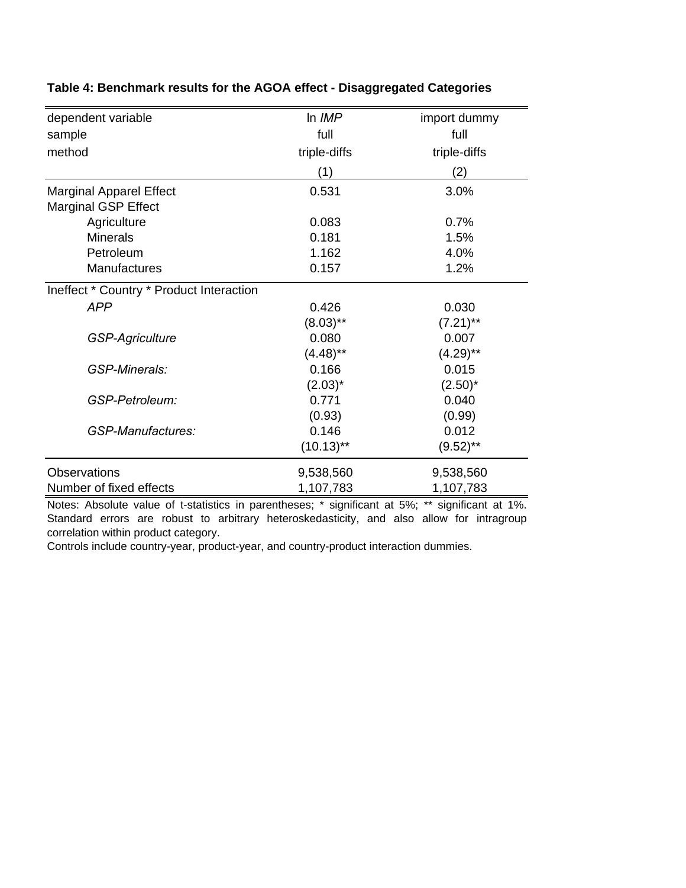| dependent variable                       | In $IMP$     | import dummy |
|------------------------------------------|--------------|--------------|
| sample                                   | full         | full         |
| method                                   | triple-diffs | triple-diffs |
|                                          | (1)          | (2)          |
| <b>Marginal Apparel Effect</b>           | 0.531        | 3.0%         |
| Marginal GSP Effect                      |              |              |
| Agriculture                              | 0.083        | 0.7%         |
| <b>Minerals</b>                          | 0.181        | 1.5%         |
| Petroleum                                | 1.162        | 4.0%         |
| Manufactures                             | 0.157        | 1.2%         |
| Ineffect * Country * Product Interaction |              |              |
| <b>APP</b>                               | 0.426        | 0.030        |
|                                          | $(8.03)$ **  | $(7.21)$ **  |
| GSP-Agriculture                          | 0.080        | 0.007        |
|                                          | $(4.48)$ **  | $(4.29)$ **  |
| <b>GSP-Minerals:</b>                     | 0.166        | 0.015        |
|                                          | $(2.03)^*$   | $(2.50)^*$   |
| GSP-Petroleum:                           | 0.771        | 0.040        |
|                                          | (0.93)       | (0.99)       |
| <b>GSP-Manufactures:</b>                 | 0.146        | 0.012        |
|                                          | $(10.13)$ ** | $(9.52)$ **  |
| <b>Observations</b>                      | 9,538,560    | 9,538,560    |
| Number of fixed effects                  | 1,107,783    | 1,107,783    |

## **Table 4: Benchmark results for the AGOA effect - Disaggregated Categories**

Notes: Absolute value of t-statistics in parentheses; \* significant at 5%; \*\* significant at 1%. Standard errors are robust to arbitrary heteroskedasticity, and also allow for intragroup correlation within product category.

Controls include country-year, product-year, and country-product interaction dummies.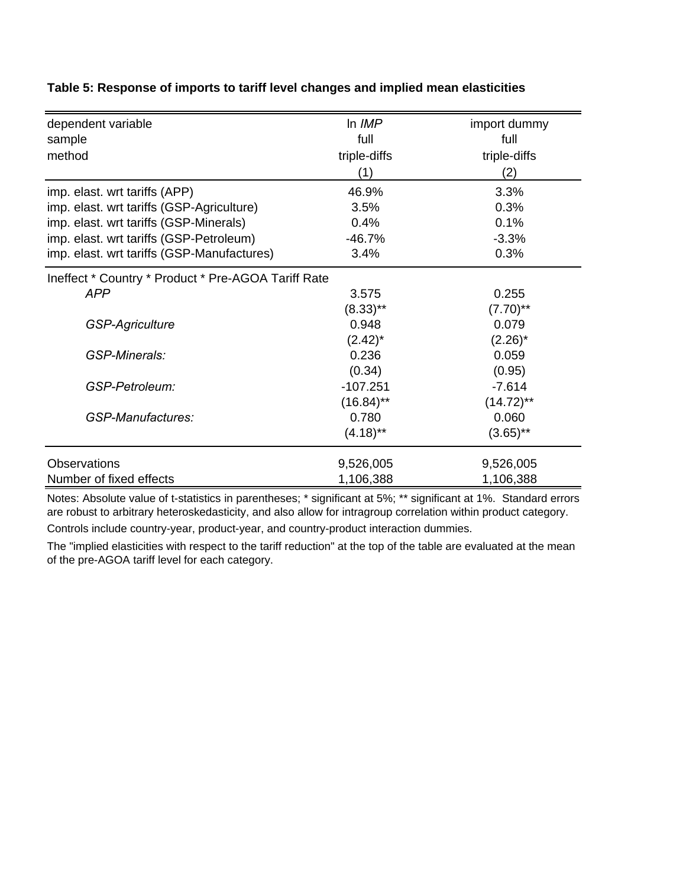| dependent variable<br>sample<br>method                                                                                                                                                                        | In $IMP$<br>full<br>triple-diffs<br>(1)                      | import dummy<br>full<br>triple-diffs<br>(2)                |
|---------------------------------------------------------------------------------------------------------------------------------------------------------------------------------------------------------------|--------------------------------------------------------------|------------------------------------------------------------|
| imp. elast. wrt tariffs (APP)<br>imp. elast. wrt tariffs (GSP-Agriculture)<br>imp. elast. wrt tariffs (GSP-Minerals)<br>imp. elast. wrt tariffs (GSP-Petroleum)<br>imp. elast. wrt tariffs (GSP-Manufactures) | 46.9%<br>3.5%<br>0.4%<br>$-46.7%$<br>3.4%                    | 3.3%<br>0.3%<br>0.1%<br>$-3.3%$<br>0.3%                    |
| Ineffect * Country * Product * Pre-AGOA Tariff Rate<br><b>APP</b><br>GSP-Agriculture<br>GSP-Minerals:                                                                                                         | 3.575<br>$(8.33)$ **<br>0.948<br>$(2.42)^*$<br>0.236         | 0.255<br>$(7.70)$ **<br>0.079<br>$(2.26)^*$<br>0.059       |
| GSP-Petroleum:<br><b>GSP-Manufactures:</b>                                                                                                                                                                    | (0.34)<br>$-107.251$<br>$(16.84)$ **<br>0.780<br>$(4.18)$ ** | (0.95)<br>$-7.614$<br>$(14.72)$ **<br>0.060<br>$(3.65)$ ** |
| <b>Observations</b><br>Number of fixed effects                                                                                                                                                                | 9,526,005<br>1,106,388                                       | 9,526,005<br>1,106,388                                     |

### **Table 5: Response of imports to tariff level changes and implied mean elasticities**

Controls include country-year, product-year, and country-product interaction dummies. Notes: Absolute value of t-statistics in parentheses; \* significant at 5%; \*\* significant at 1%. Standard errors are robust to arbitrary heteroskedasticity, and also allow for intragroup correlation within product category.

The "implied elasticities with respect to the tariff reduction" at the top of the table are evaluated at the mean of the pre-AGOA tariff level for each category.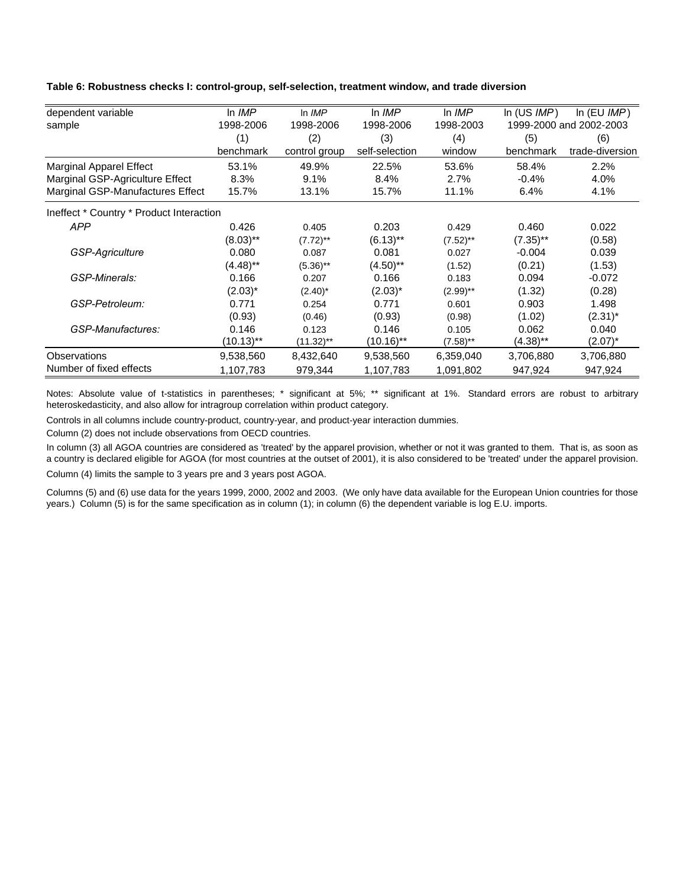### **Table 6: Robustness checks I: control-group, self-selection, treatment window, and trade diversion**

| dependent variable                       | In $IMP$     | In $IMP$      | In $IMP$       | In $IMP$    | In $(USIMP)$ | In $(EUIMP)$            |
|------------------------------------------|--------------|---------------|----------------|-------------|--------------|-------------------------|
| sample                                   | 1998-2006    | 1998-2006     | 1998-2006      | 1998-2003   |              | 1999-2000 and 2002-2003 |
|                                          | (1)          | (2)           | (3)            | (4)         | (5)          | (6)                     |
|                                          | benchmark    | control group | self-selection | window      | benchmark    | trade-diversion         |
| Marginal Apparel Effect                  | 53.1%        | 49.9%         | 22.5%          | 53.6%       | 58.4%        | 2.2%                    |
| Marginal GSP-Agriculture Effect          | 8.3%         | 9.1%          | 8.4%           | 2.7%        | $-0.4%$      | 4.0%                    |
| Marginal GSP-Manufactures Effect         | 15.7%        | 13.1%         | 15.7%          | 11.1%       | 6.4%         | 4.1%                    |
| Ineffect * Country * Product Interaction |              |               |                |             |              |                         |
| <b>APP</b>                               | 0.426        | 0.405         | 0.203          | 0.429       | 0.460        | 0.022                   |
|                                          | $(8.03)$ **  | $(7.72)$ **   | $(6.13)$ **    | $(7.52)$ ** | $(7.35)$ **  | (0.58)                  |
| GSP-Agriculture                          | 0.080        | 0.087         | 0.081          | 0.027       | $-0.004$     | 0.039                   |
|                                          | (4.48)**     | $(5.36)$ **   | $(4.50)$ **    | (1.52)      | (0.21)       | (1.53)                  |
| GSP-Minerals:                            | 0.166        | 0.207         | 0.166          | 0.183       | 0.094        | $-0.072$                |
|                                          | $(2.03)^*$   | $(2.40)^*$    | $(2.03)^*$     | $(2.99)$ ** | (1.32)       | (0.28)                  |
| GSP-Petroleum:                           | 0.771        | 0.254         | 0.771          | 0.601       | 0.903        | 1.498                   |
|                                          | (0.93)       | (0.46)        | (0.93)         | (0.98)      | (1.02)       | $(2.31)^*$              |
| GSP-Manufactures:                        | 0.146        | 0.123         | 0.146          | 0.105       | 0.062        | 0.040                   |
|                                          | $(10.13)$ ** | $(11.32)$ **  | (10.16)**      | $(7.58)$ ** | $(4.38)$ **  | $(2.07)^*$              |
| <b>Observations</b>                      | 9,538,560    | 8,432,640     | 9,538,560      | 6,359,040   | 3,706,880    | 3,706,880               |
| Number of fixed effects                  | 1,107,783    | 979,344       | 1,107,783      | 1,091,802   | 947,924      | 947,924                 |

Notes: Absolute value of t-statistics in parentheses; \* significant at 5%; \*\* significant at 1%. Standard errors are robust to arbitrary heteroskedasticity, and also allow for intragroup correlation within product category.

Controls in all columns include country-product, country-year, and product-year interaction dummies.

Column (2) does not include observations from OECD countries.

In column (3) all AGOA countries are considered as 'treated' by the apparel provision, whether or not it was granted to them. That is, as soon as a country is declared eligible for AGOA (for most countries at the outset of 2001), it is also considered to be 'treated' under the apparel provision.

Column (4) limits the sample to 3 years pre and 3 years post AGOA.

Columns (5) and (6) use data for the years 1999, 2000, 2002 and 2003. (We only have data available for the European Union countries for those years.) Column (5) is for the same specification as in column (1); in column (6) the dependent variable is log E.U. imports.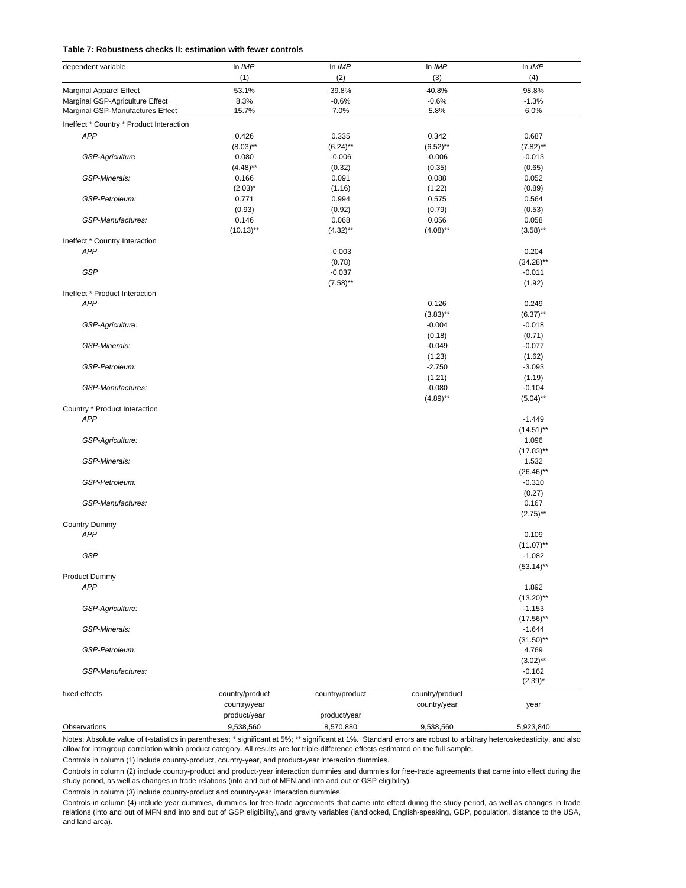#### **Table 7: Robustness checks II: estimation with fewer controls**

| dependent variable                       | In IMP          | In IMP          | In IMP          | In IMP                  |
|------------------------------------------|-----------------|-----------------|-----------------|-------------------------|
|                                          | (1)             | (2)             | (3)             | (4)                     |
| <b>Marginal Apparel Effect</b>           | 53.1%           | 39.8%           | 40.8%           | 98.8%                   |
| Marginal GSP-Agriculture Effect          | 8.3%            | $-0.6%$         | $-0.6%$         | $-1.3%$                 |
| Marginal GSP-Manufactures Effect         | 15.7%           | 7.0%            | 5.8%            | 6.0%                    |
| Ineffect * Country * Product Interaction |                 |                 |                 |                         |
| <b>APP</b>                               | 0.426           | 0.335           | 0.342           | 0.687                   |
|                                          | $(8.03)$ **     | $(6.24)$ **     | $(6.52)$ **     | $(7.82)$ **             |
| GSP-Agriculture                          | 0.080           | $-0.006$        | $-0.006$        | $-0.013$                |
|                                          | $(4.48)$ **     | (0.32)          | (0.35)          | (0.65)                  |
| GSP-Minerals:                            | 0.166           | 0.091           | 0.088           | 0.052                   |
|                                          | $(2.03)^*$      | (1.16)          | (1.22)          | (0.89)                  |
| GSP-Petroleum:                           | 0.771           | 0.994           | 0.575           | 0.564                   |
|                                          | (0.93)          | (0.92)          | (0.79)          | (0.53)                  |
| GSP-Manufactures:                        | 0.146           | 0.068           | 0.056           | 0.058                   |
|                                          | $(10.13)$ **    | $(4.32)$ **     | $(4.08)$ **     | $(3.58)$ **             |
| Ineffect * Country Interaction           |                 |                 |                 |                         |
| <b>APP</b>                               |                 | $-0.003$        |                 | 0.204                   |
|                                          |                 | (0.78)          |                 | $(34.28)$ **            |
| <b>GSP</b>                               |                 | $-0.037$        |                 | $-0.011$                |
|                                          |                 | $(7.58)$ **     |                 | (1.92)                  |
| Ineffect * Product Interaction           |                 |                 |                 |                         |
| <b>APP</b>                               |                 |                 | 0.126           | 0.249                   |
|                                          |                 |                 | $(3.83)$ **     | $(6.37)$ **             |
| GSP-Agriculture:                         |                 |                 | $-0.004$        | $-0.018$                |
|                                          |                 |                 | (0.18)          | (0.71)                  |
| GSP-Minerals:                            |                 |                 | $-0.049$        | $-0.077$                |
|                                          |                 |                 | (1.23)          | (1.62)                  |
| GSP-Petroleum:                           |                 |                 | $-2.750$        | $-3.093$                |
|                                          |                 |                 |                 |                         |
|                                          |                 |                 | (1.21)          | (1.19)                  |
| GSP-Manufactures:                        |                 |                 | $-0.080$        | $-0.104$                |
| Country * Product Interaction            |                 |                 | $(4.89)$ **     | $(5.04)$ **             |
| <b>APP</b>                               |                 |                 |                 | $-1.449$                |
|                                          |                 |                 |                 |                         |
|                                          |                 |                 |                 | $(14.51)$ **            |
| GSP-Agriculture:                         |                 |                 |                 | 1.096                   |
| GSP-Minerals:                            |                 |                 |                 | $(17.83)$ **            |
|                                          |                 |                 |                 | 1.532                   |
|                                          |                 |                 |                 | $(26.46)$ <sup>**</sup> |
| GSP-Petroleum:                           |                 |                 |                 | $-0.310$                |
| GSP-Manufactures:                        |                 |                 |                 | (0.27)<br>0.167         |
|                                          |                 |                 |                 | $(2.75)$ **             |
| <b>Country Dummy</b>                     |                 |                 |                 |                         |
| <b>APP</b>                               |                 |                 |                 | 0.109                   |
|                                          |                 |                 |                 | $(11.07)$ **            |
| GSP                                      |                 |                 |                 | $-1.082$                |
|                                          |                 |                 |                 | $(53.14)$ **            |
| Product Dummy                            |                 |                 |                 |                         |
| <b>APP</b>                               |                 |                 |                 | 1.892                   |
|                                          |                 |                 |                 | $(13.20)$ **            |
| GSP-Agriculture:                         |                 |                 |                 | $-1.153$                |
|                                          |                 |                 |                 | $(17.56)$ **            |
| GSP-Minerals:                            |                 |                 |                 | $-1.644$                |
|                                          |                 |                 |                 | $(31.50)$ **            |
| GSP-Petroleum:                           |                 |                 |                 |                         |
|                                          |                 |                 |                 | 4.769<br>$(3.02)$ **    |
| GSP-Manufactures:                        |                 |                 |                 | $-0.162$                |
|                                          |                 |                 |                 | $(2.39)^*$              |
|                                          |                 |                 |                 |                         |
| fixed effects                            | country/product | country/product | country/product |                         |
|                                          | country/year    |                 | country/year    | year                    |
|                                          | product/year    | product/year    |                 |                         |
| Observations                             | 9,538,560       | 8,570,880       | 9,538,560       | 5,923,840               |

Notes: Absolute value of t-statistics in parentheses; \* significant at 5%; \*\* significant at 1%. Standard errors are robust to arbitrary heteroskedasticity, and also allow for intragroup correlation within product category. All results are for triple-difference effects estimated on the full sample.

Controls in column (1) include country-product, country-year, and product-year interaction dummies.

Controls in column (2) include country-product and product-year interaction dummies and dummies for free-trade agreements that came into effect during the study period, as well as changes in trade relations (into and out of MFN and into and out of GSP eligibility).

Controls in column (3) include country-product and country-year interaction dummies.

Controls in column (4) include year dummies, dummies for free-trade agreements that came into effect during the study period, as well as changes in trade relations (into and out of MFN and into and out of GSP eligibility), and gravity variables (landlocked, English-speaking, GDP, population, distance to the USA, and land area).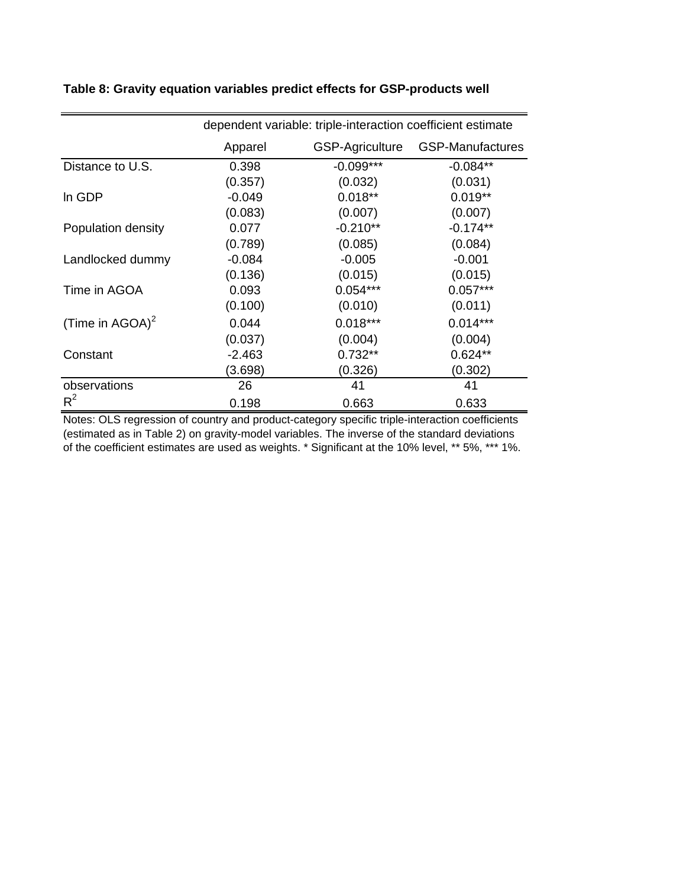|                    | dependent variable: triple-interaction coefficient estimate |                        |                         |  |  |  |
|--------------------|-------------------------------------------------------------|------------------------|-------------------------|--|--|--|
|                    | Apparel                                                     | <b>GSP-Agriculture</b> | <b>GSP-Manufactures</b> |  |  |  |
| Distance to U.S.   | 0.398                                                       | $-0.099***$            | $-0.084**$              |  |  |  |
|                    | (0.357)                                                     | (0.032)                | (0.031)                 |  |  |  |
| In GDP             | $-0.049$                                                    | $0.018**$              | $0.019**$               |  |  |  |
|                    | (0.083)                                                     | (0.007)                | (0.007)                 |  |  |  |
| Population density | 0.077                                                       | $-0.210**$             | $-0.174**$              |  |  |  |
|                    | (0.789)                                                     | (0.085)                | (0.084)                 |  |  |  |
| Landlocked dummy   | $-0.084$                                                    | $-0.005$               | $-0.001$                |  |  |  |
|                    | (0.136)                                                     | (0.015)                | (0.015)                 |  |  |  |
| Time in AGOA       | 0.093                                                       | $0.054***$             | $0.057***$              |  |  |  |
|                    | (0.100)                                                     | (0.010)                | (0.011)                 |  |  |  |
| (Time in $AGOA)^2$ | 0.044                                                       | $0.018***$             | $0.014***$              |  |  |  |
|                    | (0.037)                                                     | (0.004)                | (0.004)                 |  |  |  |
| Constant           | $-2.463$                                                    | $0.732**$              | $0.624**$               |  |  |  |
|                    | (3.698)                                                     | (0.326)                | (0.302)                 |  |  |  |
| observations       | 26                                                          | 41                     | 41                      |  |  |  |
| $R^2$              | 0.198                                                       | 0.663                  | 0.633                   |  |  |  |

**Table 8: Gravity equation variables predict effects for GSP-products well**

Notes: OLS regression of country and product-category specific triple-interaction coefficients (estimated as in Table 2) on gravity-model variables. The inverse of the standard deviations of the coefficient estimates are used as weights. \* Significant at the 10% level, \*\* 5%, \*\*\* 1%.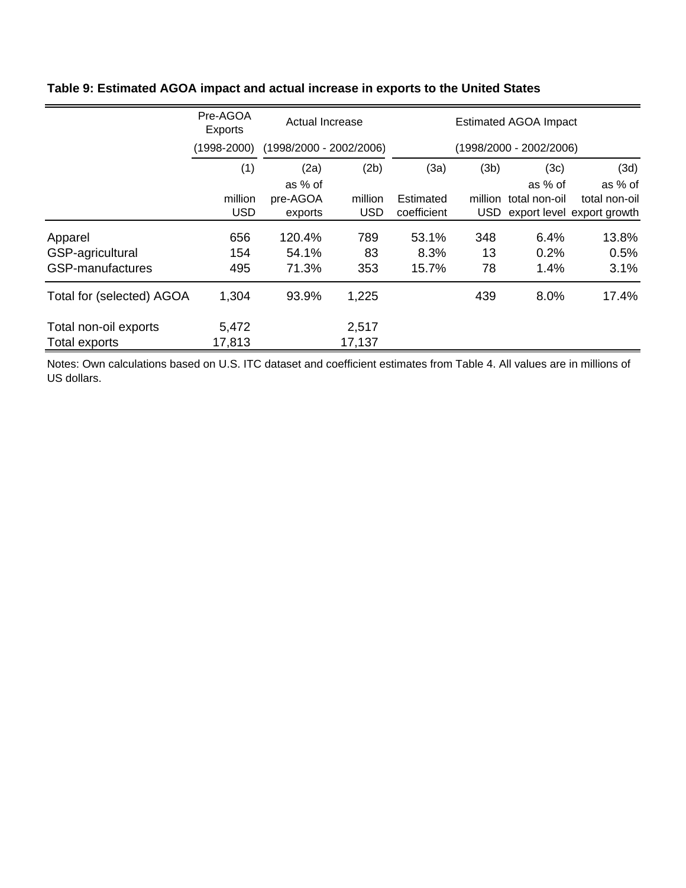|                                                 | Pre-AGOA<br>Exports   | Actual Increase                |                       | <b>Estimated AGOA Impact</b> |                 |                          |                                                        |  |  |
|-------------------------------------------------|-----------------------|--------------------------------|-----------------------|------------------------------|-----------------|--------------------------|--------------------------------------------------------|--|--|
|                                                 | (1998-2000)           | $(1998/2000 - 2002/2006)$      |                       |                              |                 | (1998/2000 - 2002/2006)  |                                                        |  |  |
|                                                 | (1)                   | (2a)                           | (2b)                  | (3a)                         | (3b)            | (3c)                     | (3d)                                                   |  |  |
|                                                 | million<br><b>USD</b> | as % of<br>pre-AGOA<br>exports | million<br><b>USD</b> | Estimated<br>coefficient     | million<br>USD  | as % of<br>total non-oil | as % of<br>total non-oil<br>export level export growth |  |  |
| Apparel<br>GSP-agricultural<br>GSP-manufactures | 656<br>154<br>495     | 120.4%<br>54.1%<br>71.3%       | 789<br>83<br>353      | 53.1%<br>8.3%<br>15.7%       | 348<br>13<br>78 | 6.4%<br>0.2%<br>1.4%     | 13.8%<br>0.5%<br>3.1%                                  |  |  |
| Total for (selected) AGOA                       | 1,304                 | 93.9%                          | 1,225                 |                              | 439             | 8.0%                     | 17.4%                                                  |  |  |
| Total non-oil exports<br><b>Total exports</b>   | 5,472<br>17,813       |                                | 2,517<br>17,137       |                              |                 |                          |                                                        |  |  |

# **Table 9: Estimated AGOA impact and actual increase in exports to the United States**

Notes: Own calculations based on U.S. ITC dataset and coefficient estimates from Table 4. All values are in millions of US dollars.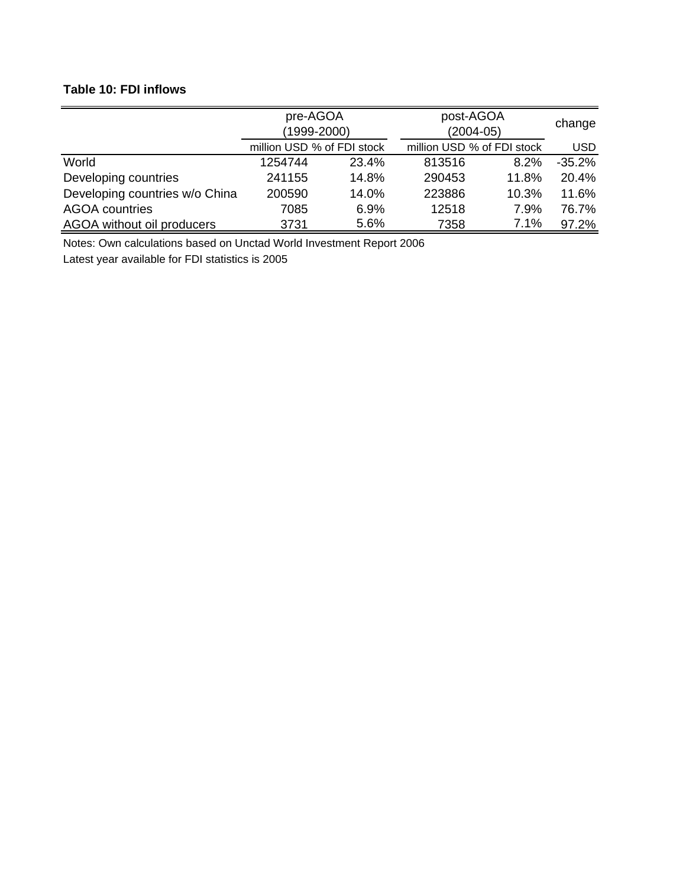# **Table 10: FDI inflows**

|                                | pre-AGOA                   |       | post-AGOA                  |       |            |
|--------------------------------|----------------------------|-------|----------------------------|-------|------------|
|                                | (1999-2000)                |       | $(2004 - 05)$              |       | change     |
|                                | million USD % of FDI stock |       | million USD % of FDI stock |       | <b>USD</b> |
| World                          | 1254744                    | 23.4% | 813516                     | 8.2%  | $-35.2%$   |
| Developing countries           | 241155                     | 14.8% | 290453                     | 11.8% | 20.4%      |
| Developing countries w/o China | 200590                     | 14.0% | 223886                     | 10.3% | 11.6%      |
| <b>AGOA</b> countries          | 7085                       | 6.9%  | 12518                      | 7.9%  | 76.7%      |
| AGOA without oil producers     | 3731                       | 5.6%  | 7358                       | 7.1%  | 97.2%      |

Notes: Own calculations based on Unctad World Investment Report 2006

Latest year available for FDI statistics is 2005